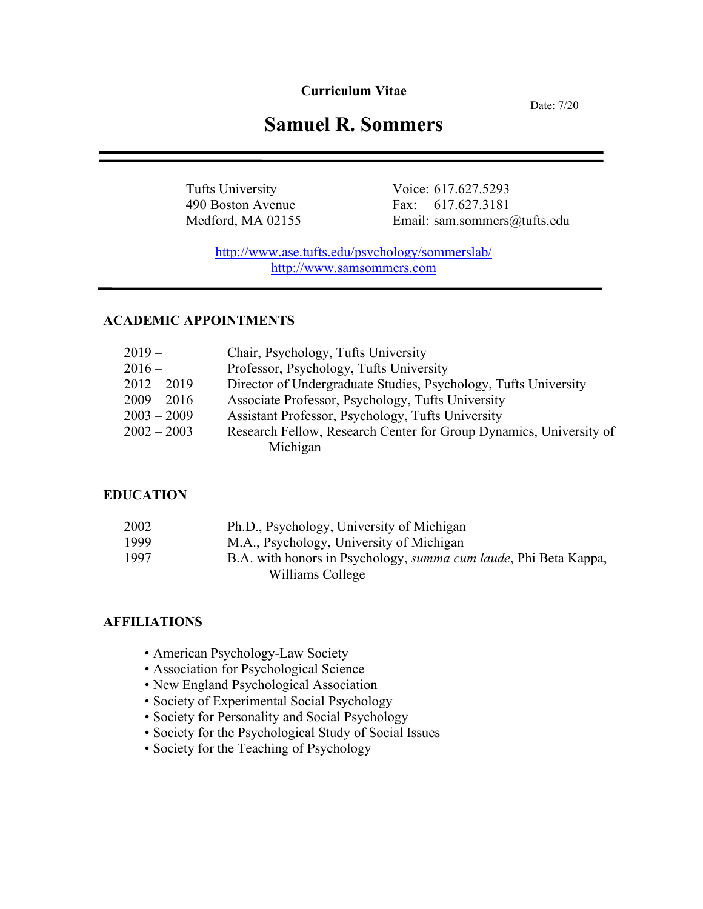**Curriculum Vitae**

Date: 7/20

# **Samuel R. Sommers**

Tufts University Voice: 617.627.5293 490 Boston Avenue Fax: 617.627.3181<br>Medford, MA 02155 Email: sam.sommers Email: sam.sommers@tufts.edu

http://www.ase.tufts.edu/psychology/sommerslab/ http://www.samsommers.com

### **ACADEMIC APPOINTMENTS**

| $2019 -$      | Chair, Psychology, Tufts University                                |
|---------------|--------------------------------------------------------------------|
| $2016 -$      | Professor, Psychology, Tufts University                            |
| $2012 - 2019$ | Director of Undergraduate Studies, Psychology, Tufts University    |
| $2009 - 2016$ | Associate Professor, Psychology, Tufts University                  |
| $2003 - 2009$ | Assistant Professor, Psychology, Tufts University                  |
| $2002 - 2003$ | Research Fellow, Research Center for Group Dynamics, University of |
|               | Michigan                                                           |

### **EDUCATION**

| 2002 | Ph.D., Psychology, University of Michigan                                |
|------|--------------------------------------------------------------------------|
| 1999 | M.A., Psychology, University of Michigan                                 |
| 1997 | B.A. with honors in Psychology, <i>summa cum laude</i> , Phi Beta Kappa, |
|      | Williams College                                                         |

### **AFFILIATIONS**

- American Psychology-Law Society
- Association for Psychological Science
- New England Psychological Association
- Society of Experimental Social Psychology
- Society for Personality and Social Psychology
- Society for the Psychological Study of Social Issues
- Society for the Teaching of Psychology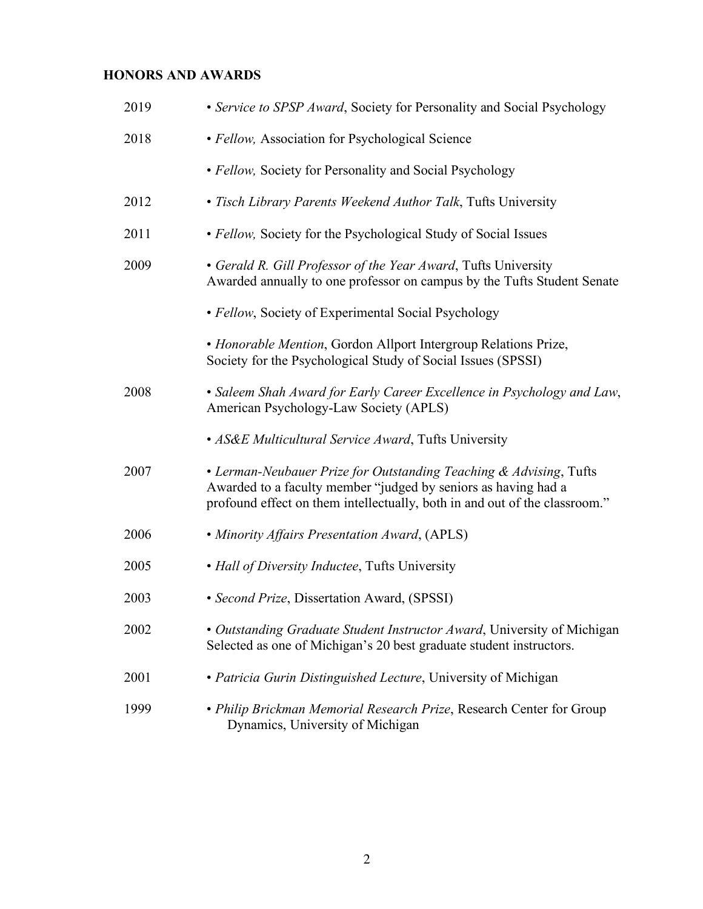### **HONORS AND AWARDS**

| 2019 | • Service to SPSP Award, Society for Personality and Social Psychology                                                                                                                                             |
|------|--------------------------------------------------------------------------------------------------------------------------------------------------------------------------------------------------------------------|
| 2018 | • Fellow, Association for Psychological Science                                                                                                                                                                    |
|      | • Fellow, Society for Personality and Social Psychology                                                                                                                                                            |
| 2012 | • Tisch Library Parents Weekend Author Talk, Tufts University                                                                                                                                                      |
| 2011 | • Fellow, Society for the Psychological Study of Social Issues                                                                                                                                                     |
| 2009 | • Gerald R. Gill Professor of the Year Award, Tufts University<br>Awarded annually to one professor on campus by the Tufts Student Senate                                                                          |
|      | · Fellow, Society of Experimental Social Psychology                                                                                                                                                                |
|      | • Honorable Mention, Gordon Allport Intergroup Relations Prize,<br>Society for the Psychological Study of Social Issues (SPSSI)                                                                                    |
| 2008 | • Saleem Shah Award for Early Career Excellence in Psychology and Law,<br>American Psychology-Law Society (APLS)                                                                                                   |
|      | • AS&E Multicultural Service Award, Tufts University                                                                                                                                                               |
| 2007 | • Lerman-Neubauer Prize for Outstanding Teaching & Advising, Tufts<br>Awarded to a faculty member "judged by seniors as having had a<br>profound effect on them intellectually, both in and out of the classroom." |
| 2006 | • Minority Affairs Presentation Award, (APLS)                                                                                                                                                                      |
| 2005 | • Hall of Diversity Inductee, Tufts University                                                                                                                                                                     |
| 2003 | • Second Prize, Dissertation Award, (SPSSI)                                                                                                                                                                        |
| 2002 | • Outstanding Graduate Student Instructor Award, University of Michigan<br>Selected as one of Michigan's 20 best graduate student instructors.                                                                     |
| 2001 | • Patricia Gurin Distinguished Lecture, University of Michigan                                                                                                                                                     |
| 1999 | • Philip Brickman Memorial Research Prize, Research Center for Group<br>Dynamics, University of Michigan                                                                                                           |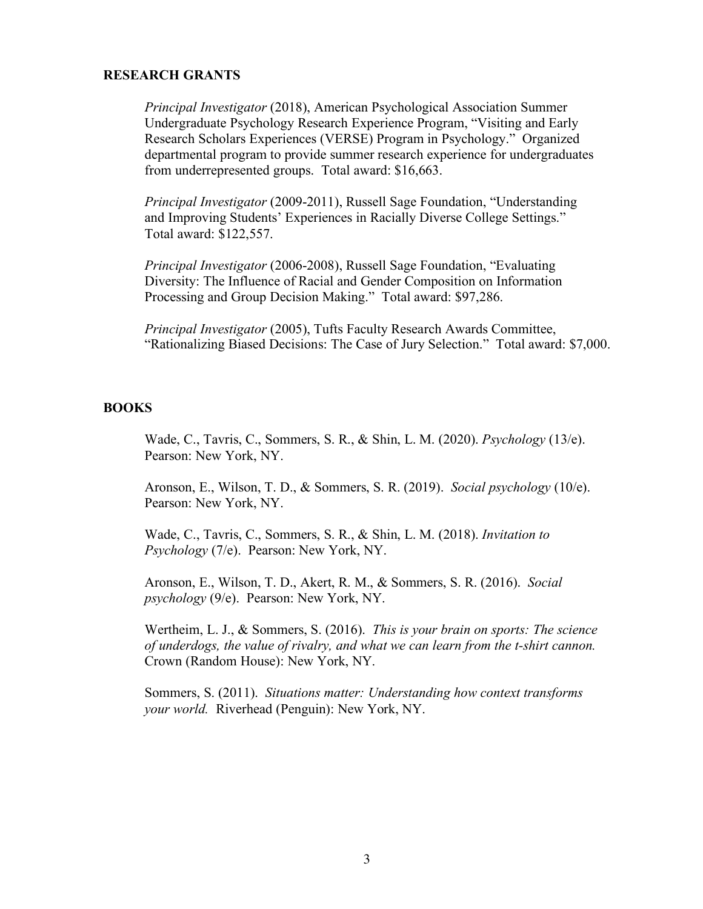### **RESEARCH GRANTS**

*Principal Investigator* (2018), American Psychological Association Summer Undergraduate Psychology Research Experience Program, "Visiting and Early Research Scholars Experiences (VERSE) Program in Psychology." Organized departmental program to provide summer research experience for undergraduates from underrepresented groups. Total award: \$16,663.

*Principal Investigator* (2009-2011), Russell Sage Foundation, "Understanding and Improving Students' Experiences in Racially Diverse College Settings." Total award: \$122,557.

*Principal Investigator* (2006-2008), Russell Sage Foundation, "Evaluating Diversity: The Influence of Racial and Gender Composition on Information Processing and Group Decision Making." Total award: \$97,286.

*Principal Investigator* (2005), Tufts Faculty Research Awards Committee, "Rationalizing Biased Decisions: The Case of Jury Selection." Total award: \$7,000.

#### **BOOKS**

Wade, C., Tavris, C., Sommers, S. R., & Shin, L. M. (2020). *Psychology* (13/e). Pearson: New York, NY.

Aronson, E., Wilson, T. D., & Sommers, S. R. (2019). *Social psychology* (10/e). Pearson: New York, NY.

Wade, C., Tavris, C., Sommers, S. R., & Shin, L. M. (2018). *Invitation to Psychology* (7/e). Pearson: New York, NY.

Aronson, E., Wilson, T. D., Akert, R. M., & Sommers, S. R. (2016). *Social psychology* (9/e). Pearson: New York, NY.

Wertheim, L. J., & Sommers, S. (2016). *This is your brain on sports: The science of underdogs, the value of rivalry, and what we can learn from the t-shirt cannon.* Crown (Random House): New York, NY.

Sommers, S. (2011). *Situations matter: Understanding how context transforms your world.* Riverhead (Penguin): New York, NY.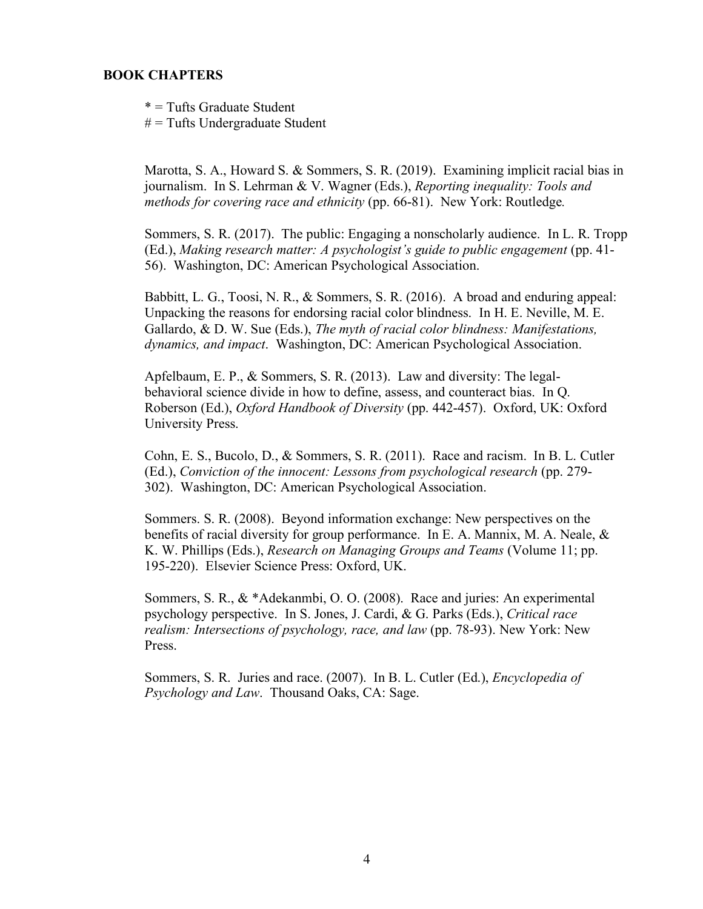### **BOOK CHAPTERS**

\* = Tufts Graduate Student  $#$  = Tufts Undergraduate Student

Marotta, S. A., Howard S. & Sommers, S. R. (2019). Examining implicit racial bias in journalism. In S. Lehrman & V. Wagner (Eds.), *Reporting inequality: Tools and methods for covering race and ethnicity* (pp. 66-81). New York: Routledge*.*

Sommers, S. R. (2017). The public: Engaging a nonscholarly audience. In L. R. Tropp (Ed.), *Making research matter: A psychologist's guide to public engagement* (pp. 41- 56). Washington, DC: American Psychological Association.

Babbitt, L. G., Toosi, N. R., & Sommers, S. R. (2016). A broad and enduring appeal: Unpacking the reasons for endorsing racial color blindness. In H. E. Neville, M. E. Gallardo, & D. W. Sue (Eds.), *The myth of racial color blindness: Manifestations, dynamics, and impact*. Washington, DC: American Psychological Association.

Apfelbaum, E. P., & Sommers, S. R. (2013). Law and diversity: The legalbehavioral science divide in how to define, assess, and counteract bias. In Q. Roberson (Ed.), *Oxford Handbook of Diversity* (pp. 442-457). Oxford, UK: Oxford University Press.

Cohn, E. S., Bucolo, D., & Sommers, S. R. (2011). Race and racism. In B. L. Cutler (Ed.), *Conviction of the innocent: Lessons from psychological research* (pp. 279- 302). Washington, DC: American Psychological Association.

Sommers. S. R. (2008). Beyond information exchange: New perspectives on the benefits of racial diversity for group performance. In E. A. Mannix, M. A. Neale, & K. W. Phillips (Eds.), *Research on Managing Groups and Teams* (Volume 11; pp. 195-220). Elsevier Science Press: Oxford, UK.

Sommers, S. R., & \*Adekanmbi, O. O. (2008). Race and juries: An experimental psychology perspective. In S. Jones, J. Cardi, & G. Parks (Eds.), *Critical race realism: Intersections of psychology, race, and law* (pp. 78-93). New York: New Press.

Sommers, S. R. Juries and race. (2007). In B. L. Cutler (Ed.), *Encyclopedia of Psychology and Law*. Thousand Oaks, CA: Sage.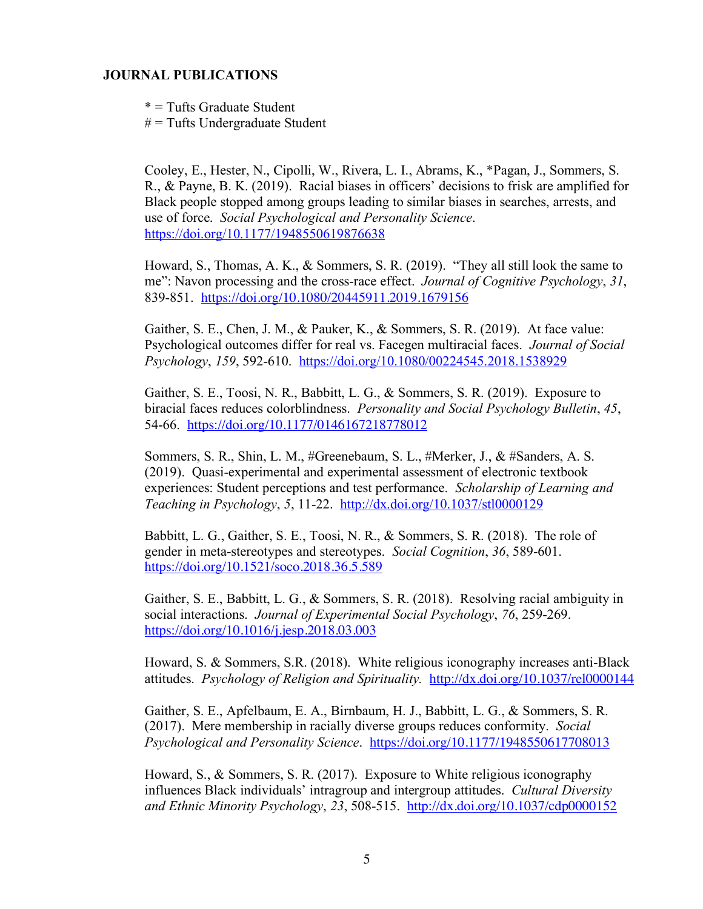### **JOURNAL PUBLICATIONS**

\* = Tufts Graduate Student

 $#$  = Tufts Undergraduate Student

Cooley, E., Hester, N., Cipolli, W., Rivera, L. I., Abrams, K., \*Pagan, J., Sommers, S. R., & Payne, B. K. (2019). Racial biases in officers' decisions to frisk are amplified for Black people stopped among groups leading to similar biases in searches, arrests, and use of force. *Social Psychological and Personality Science*. https://doi.org/10.1177/1948550619876638

Howard, S., Thomas, A. K., & Sommers, S. R. (2019). "They all still look the same to me": Navon processing and the cross-race effect. *Journal of Cognitive Psychology*, *31*, 839-851. https://doi.org/10.1080/20445911.2019.1679156

Gaither, S. E., Chen, J. M., & Pauker, K., & Sommers, S. R. (2019). At face value: Psychological outcomes differ for real vs. Facegen multiracial faces. *Journal of Social Psychology*, *159*, 592-610. https://doi.org/10.1080/00224545.2018.1538929

Gaither, S. E., Toosi, N. R., Babbitt, L. G., & Sommers, S. R. (2019). Exposure to biracial faces reduces colorblindness. *Personality and Social Psychology Bulletin*, *45*, 54-66. https://doi.org/10.1177/0146167218778012

Sommers, S. R., Shin, L. M., #Greenebaum, S. L., #Merker, J., & #Sanders, A. S. (2019). Quasi-experimental and experimental assessment of electronic textbook experiences: Student perceptions and test performance. *Scholarship of Learning and Teaching in Psychology*, *5*, 11-22. http://dx.doi.org/10.1037/stl0000129

Babbitt, L. G., Gaither, S. E., Toosi, N. R., & Sommers, S. R. (2018). The role of gender in meta-stereotypes and stereotypes. *Social Cognition*, *36*, 589-601. https://doi.org/10.1521/soco.2018.36.5.589

Gaither, S. E., Babbitt, L. G., & Sommers, S. R. (2018). Resolving racial ambiguity in social interactions. *Journal of Experimental Social Psychology*, *76*, 259-269. https://doi.org/10.1016/j.jesp.2018.03.003

Howard, S. & Sommers, S.R. (2018). White religious iconography increases anti-Black attitudes. *Psychology of Religion and Spirituality.* http://dx.doi.org/10.1037/rel0000144

Gaither, S. E., Apfelbaum, E. A., Birnbaum, H. J., Babbitt, L. G., & Sommers, S. R. (2017). Mere membership in racially diverse groups reduces conformity. *Social Psychological and Personality Science*. https://doi.org/10.1177/1948550617708013

Howard, S., & Sommers, S. R. (2017). Exposure to White religious iconography influences Black individuals' intragroup and intergroup attitudes. *Cultural Diversity and Ethnic Minority Psychology*, *23*, 508-515. http://dx.doi.org/10.1037/cdp0000152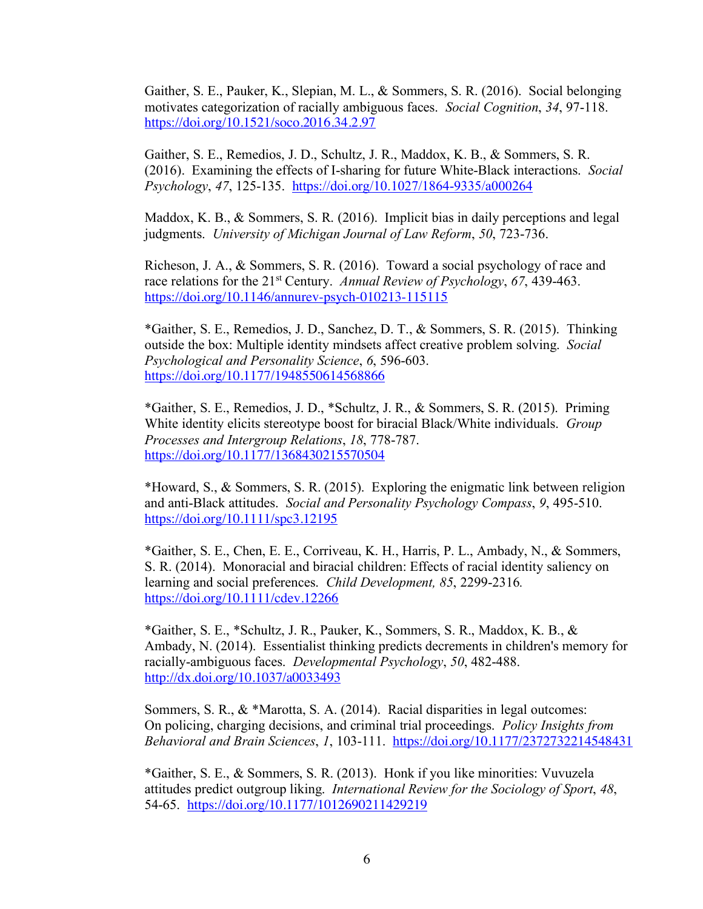Gaither, S. E., Pauker, K., Slepian, M. L., & Sommers, S. R. (2016). Social belonging motivates categorization of racially ambiguous faces. *Social Cognition*, *34*, 97-118. https://doi.org/10.1521/soco.2016.34.2.97

Gaither, S. E., Remedios, J. D., Schultz, J. R., Maddox, K. B., & Sommers, S. R. (2016). Examining the effects of I-sharing for future White-Black interactions. *Social Psychology*, *47*, 125-135. https://doi.org/10.1027/1864-9335/a000264

Maddox, K. B., & Sommers, S. R. (2016). Implicit bias in daily perceptions and legal judgments. *University of Michigan Journal of Law Reform*, *50*, 723-736.

Richeson, J. A., & Sommers, S. R. (2016). Toward a social psychology of race and race relations for the 21st Century. *Annual Review of Psychology*, *67*, 439-463. https://doi.org/10.1146/annurev-psych-010213-115115

\*Gaither, S. E., Remedios, J. D., Sanchez, D. T., & Sommers, S. R. (2015). Thinking outside the box: Multiple identity mindsets affect creative problem solving. *Social Psychological and Personality Science*, *6*, 596-603. https://doi.org/10.1177/1948550614568866

\*Gaither, S. E., Remedios, J. D., \*Schultz, J. R., & Sommers, S. R. (2015). Priming White identity elicits stereotype boost for biracial Black/White individuals. *Group Processes and Intergroup Relations*, *18*, 778-787. https://doi.org/10.1177/1368430215570504

\*Howard, S., & Sommers, S. R. (2015). Exploring the enigmatic link between religion and anti-Black attitudes. *Social and Personality Psychology Compass*, *9*, 495-510. https://doi.org/10.1111/spc3.12195

\*Gaither, S. E., Chen, E. E., Corriveau, K. H., Harris, P. L., Ambady, N., & Sommers, S. R. (2014). Monoracial and biracial children: Effects of racial identity saliency on learning and social preferences. *Child Development, 85*, 2299-2316*.*  https://doi.org/10.1111/cdev.12266

\*Gaither, S. E., \*Schultz, J. R., Pauker, K., Sommers, S. R., Maddox, K. B., & Ambady, N. (2014). Essentialist thinking predicts decrements in children's memory for racially-ambiguous faces. *Developmental Psychology*, *50*, 482-488. http://dx.doi.org/10.1037/a0033493

Sommers, S. R., & \*Marotta, S. A. (2014). Racial disparities in legal outcomes: On policing, charging decisions, and criminal trial proceedings. *Policy Insights from Behavioral and Brain Sciences*, *1*, 103-111. https://doi.org/10.1177/2372732214548431

\*Gaither, S. E., & Sommers, S. R. (2013). Honk if you like minorities: Vuvuzela attitudes predict outgroup liking. *International Review for the Sociology of Sport*, *48*, 54-65. https://doi.org/10.1177/1012690211429219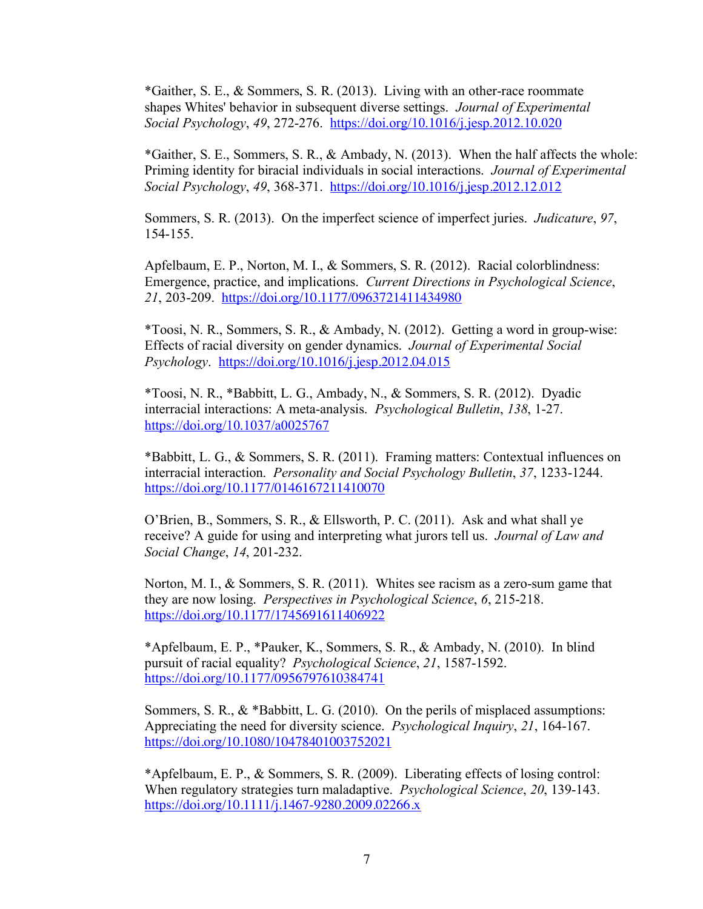\*Gaither, S. E., & Sommers, S. R. (2013). Living with an other-race roommate shapes Whites' behavior in subsequent diverse settings. *Journal of Experimental Social Psychology*, *49*, 272-276. https://doi.org/10.1016/j.jesp.2012.10.020

\*Gaither, S. E., Sommers, S. R., & Ambady, N. (2013). When the half affects the whole: Priming identity for biracial individuals in social interactions. *Journal of Experimental Social Psychology*, *49*, 368-371. https://doi.org/10.1016/j.jesp.2012.12.012

Sommers, S. R. (2013). On the imperfect science of imperfect juries. *Judicature*, *97*, 154-155.

Apfelbaum, E. P., Norton, M. I., & Sommers, S. R. (2012). Racial colorblindness: Emergence, practice, and implications. *Current Directions in Psychological Science*, *21*, 203-209. https://doi.org/10.1177/0963721411434980

\*Toosi, N. R., Sommers, S. R., & Ambady, N. (2012). Getting a word in group-wise: Effects of racial diversity on gender dynamics. *Journal of Experimental Social Psychology*. https://doi.org/10.1016/j.jesp.2012.04.015

\*Toosi, N. R., \*Babbitt, L. G., Ambady, N., & Sommers, S. R. (2012). Dyadic interracial interactions: A meta-analysis. *Psychological Bulletin*, *138*, 1-27. https://doi.org/10.1037/a0025767

\*Babbitt, L. G., & Sommers, S. R. (2011). Framing matters: Contextual influences on interracial interaction. *Personality and Social Psychology Bulletin*, *37*, 1233-1244. https://doi.org/10.1177/0146167211410070

O'Brien, B., Sommers, S. R., & Ellsworth, P. C. (2011). Ask and what shall ye receive? A guide for using and interpreting what jurors tell us. *Journal of Law and Social Change*, *14*, 201-232.

Norton, M. I., & Sommers, S. R. (2011). Whites see racism as a zero-sum game that they are now losing. *Perspectives in Psychological Science*, *6*, 215-218. https://doi.org/10.1177/1745691611406922

\*Apfelbaum, E. P., \*Pauker, K., Sommers, S. R., & Ambady, N. (2010). In blind pursuit of racial equality? *Psychological Science*, *21*, 1587-1592. https://doi.org/10.1177/0956797610384741

Sommers, S. R., & \*Babbitt, L. G. (2010). On the perils of misplaced assumptions: Appreciating the need for diversity science. *Psychological Inquiry*, *21*, 164-167. https://doi.org/10.1080/10478401003752021

\*Apfelbaum, E. P., & Sommers, S. R. (2009). Liberating effects of losing control: When regulatory strategies turn maladaptive. *Psychological Science*, *20*, 139-143. https://doi.org/10.1111/j.1467-9280.2009.02266.x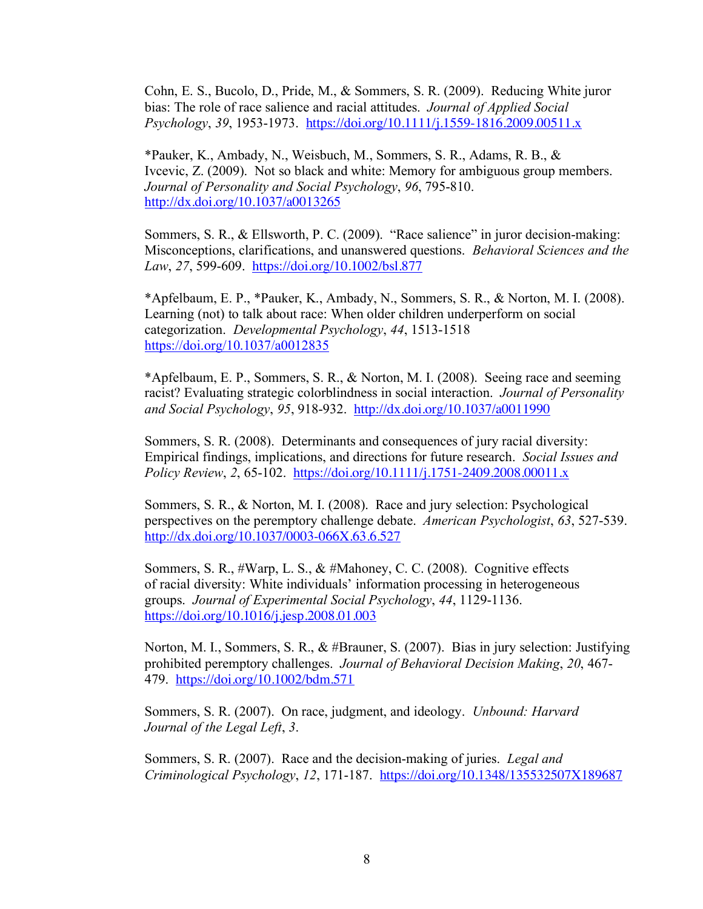Cohn, E. S., Bucolo, D., Pride, M., & Sommers, S. R. (2009). Reducing White juror bias: The role of race salience and racial attitudes. *Journal of Applied Social Psychology*, *39*, 1953-1973. https://doi.org/10.1111/j.1559-1816.2009.00511.x

\*Pauker, K., Ambady, N., Weisbuch, M., Sommers, S. R., Adams, R. B., & Ivcevic, Z. (2009). Not so black and white: Memory for ambiguous group members. *Journal of Personality and Social Psychology*, *96*, 795-810. http://dx.doi.org/10.1037/a0013265

Sommers, S. R., & Ellsworth, P. C. (2009). "Race salience" in juror decision-making: Misconceptions, clarifications, and unanswered questions. *Behavioral Sciences and the Law*, *27*, 599-609. https://doi.org/10.1002/bsl.877

\*Apfelbaum, E. P., \*Pauker, K., Ambady, N., Sommers, S. R., & Norton, M. I. (2008). Learning (not) to talk about race: When older children underperform on social categorization. *Developmental Psychology*, *44*, 1513-1518 https://doi.org/10.1037/a0012835

\*Apfelbaum, E. P., Sommers, S. R., & Norton, M. I. (2008). Seeing race and seeming racist? Evaluating strategic colorblindness in social interaction. *Journal of Personality and Social Psychology*, *95*, 918-932. http://dx.doi.org/10.1037/a0011990

Sommers, S. R. (2008). Determinants and consequences of jury racial diversity: Empirical findings, implications, and directions for future research. *Social Issues and Policy Review*, *2*, 65-102. https://doi.org/10.1111/j.1751-2409.2008.00011.x

Sommers, S. R., & Norton, M. I. (2008). Race and jury selection: Psychological perspectives on the peremptory challenge debate. *American Psychologist*, *63*, 527-539. http://dx.doi.org/10.1037/0003-066X.63.6.527

Sommers, S. R., #Warp, L. S., & #Mahoney, C. C. (2008). Cognitive effects of racial diversity: White individuals' information processing in heterogeneous groups. *Journal of Experimental Social Psychology*, *44*, 1129-1136. https://doi.org/10.1016/j.jesp.2008.01.003

Norton, M. I., Sommers, S. R., & #Brauner, S. (2007). Bias in jury selection: Justifying prohibited peremptory challenges. *Journal of Behavioral Decision Making*, *20*, 467- 479. https://doi.org/10.1002/bdm.571

Sommers, S. R. (2007). On race, judgment, and ideology. *Unbound: Harvard Journal of the Legal Left*, *3*.

Sommers, S. R. (2007). Race and the decision-making of juries. *Legal and Criminological Psychology*, *12*, 171-187. https://doi.org/10.1348/135532507X189687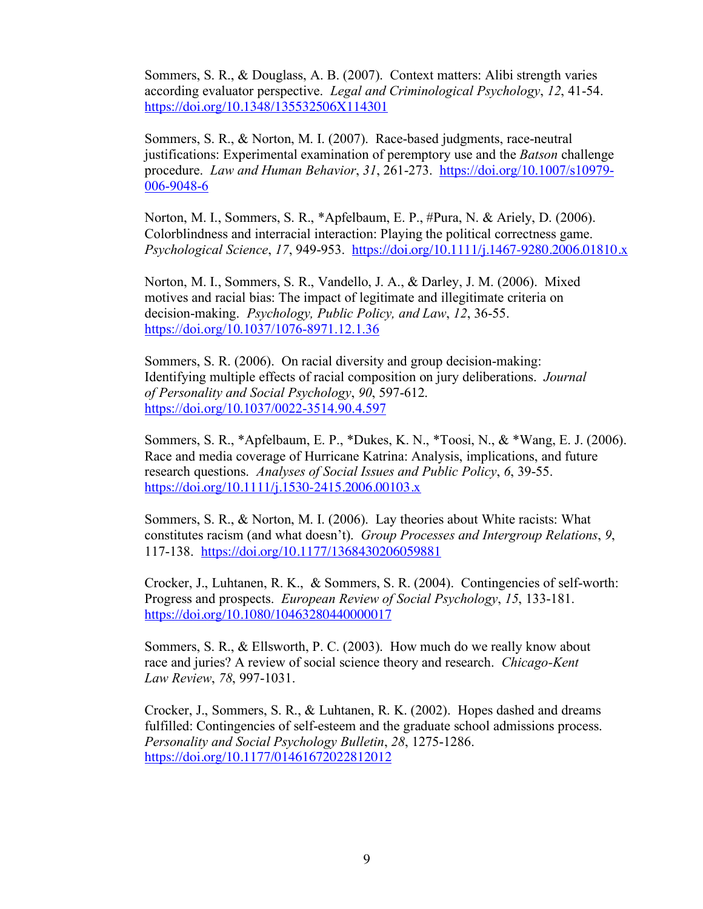Sommers, S. R., & Douglass, A. B. (2007). Context matters: Alibi strength varies according evaluator perspective. *Legal and Criminological Psychology*, *12*, 41-54. https://doi.org/10.1348/135532506X114301

Sommers, S. R., & Norton, M. I. (2007). Race-based judgments, race-neutral justifications: Experimental examination of peremptory use and the *Batson* challenge procedure. *Law and Human Behavior*, *31*, 261-273. https://doi.org/10.1007/s10979- 006-9048-6

Norton, M. I., Sommers, S. R., \*Apfelbaum, E. P., #Pura, N. & Ariely, D. (2006). Colorblindness and interracial interaction: Playing the political correctness game. *Psychological Science*, *17*, 949-953. https://doi.org/10.1111/j.1467-9280.2006.01810.x

Norton, M. I., Sommers, S. R., Vandello, J. A., & Darley, J. M. (2006). Mixed motives and racial bias: The impact of legitimate and illegitimate criteria on decision-making. *Psychology, Public Policy, and Law*, *12*, 36-55. https://doi.org/10.1037/1076-8971.12.1.36

Sommers, S. R. (2006). On racial diversity and group decision-making: Identifying multiple effects of racial composition on jury deliberations. *Journal of Personality and Social Psychology*, *90*, 597-612. https://doi.org/10.1037/0022-3514.90.4.597

Sommers, S. R., \*Apfelbaum, E. P., \*Dukes, K. N., \*Toosi, N., & \*Wang, E. J. (2006). Race and media coverage of Hurricane Katrina: Analysis, implications, and future research questions. *Analyses of Social Issues and Public Policy*, *6*, 39-55. https://doi.org/10.1111/j.1530-2415.2006.00103.x

Sommers, S. R., & Norton, M. I. (2006). Lay theories about White racists: What constitutes racism (and what doesn't). *Group Processes and Intergroup Relations*, *9*, 117-138. https://doi.org/10.1177/1368430206059881

Crocker, J., Luhtanen, R. K., & Sommers, S. R. (2004). Contingencies of self-worth: Progress and prospects. *European Review of Social Psychology*, *15*, 133-181. https://doi.org/10.1080/10463280440000017

Sommers, S. R., & Ellsworth, P. C. (2003). How much do we really know about race and juries? A review of social science theory and research. *Chicago-Kent Law Review*, *78*, 997-1031.

Crocker, J., Sommers, S. R., & Luhtanen, R. K. (2002). Hopes dashed and dreams fulfilled: Contingencies of self-esteem and the graduate school admissions process. *Personality and Social Psychology Bulletin*, *28*, 1275-1286. https://doi.org/10.1177/01461672022812012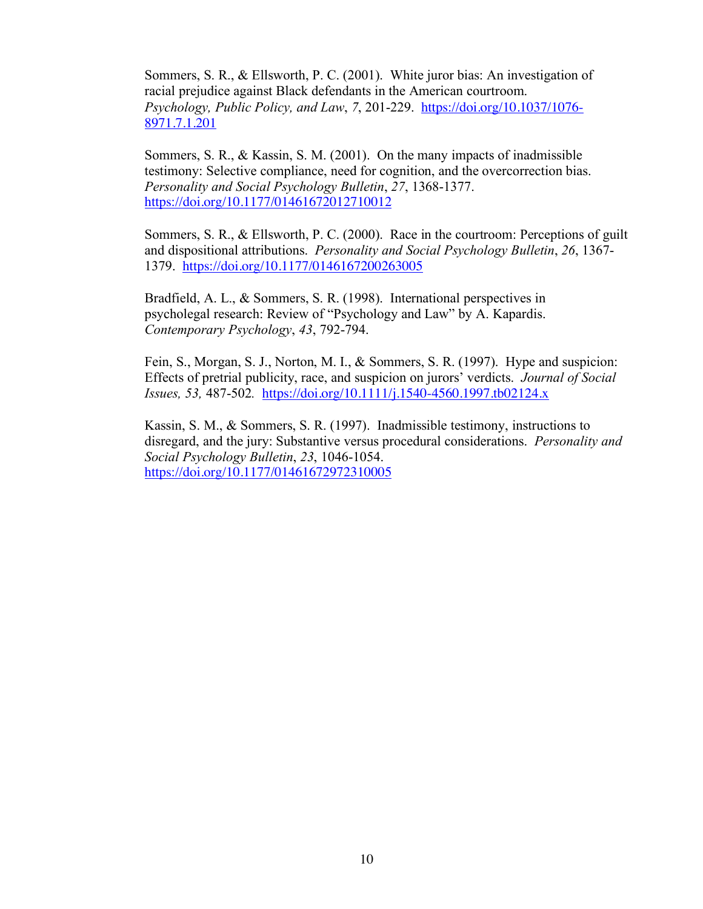Sommers, S. R., & Ellsworth, P. C. (2001). White juror bias: An investigation of racial prejudice against Black defendants in the American courtroom. *Psychology, Public Policy, and Law, 7, 201-229.* https://doi.org/10.1037/1076-8971.7.1.201

Sommers, S. R., & Kassin, S. M. (2001). On the many impacts of inadmissible testimony: Selective compliance, need for cognition, and the overcorrection bias. *Personality and Social Psychology Bulletin*, *27*, 1368-1377. https://doi.org/10.1177/01461672012710012

Sommers, S. R., & Ellsworth, P. C. (2000). Race in the courtroom: Perceptions of guilt and dispositional attributions. *Personality and Social Psychology Bulletin*, *26*, 1367- 1379. https://doi.org/10.1177/0146167200263005

Bradfield, A. L., & Sommers, S. R. (1998). International perspectives in psycholegal research: Review of "Psychology and Law" by A. Kapardis. *Contemporary Psychology*, *43*, 792-794.

Fein, S., Morgan, S. J., Norton, M. I., & Sommers, S. R. (1997). Hype and suspicion: Effects of pretrial publicity, race, and suspicion on jurors' verdicts. *Journal of Social Issues, 53,* 487-502*.* https://doi.org/10.1111/j.1540-4560.1997.tb02124.x

Kassin, S. M., & Sommers, S. R. (1997). Inadmissible testimony, instructions to disregard, and the jury: Substantive versus procedural considerations. *Personality and Social Psychology Bulletin*, *23*, 1046-1054. https://doi.org/10.1177/01461672972310005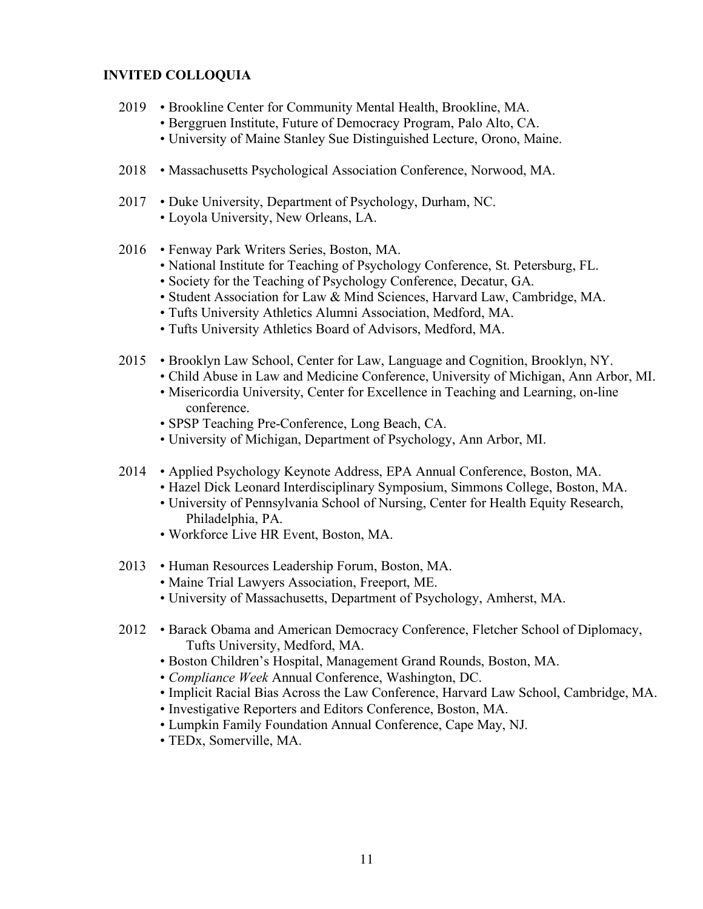### **INVITED COLLOQUIA**

- 2019 Brookline Center for Community Mental Health, Brookline, MA.
	- Berggruen Institute, Future of Democracy Program, Palo Alto, CA.
	- University of Maine Stanley Sue Distinguished Lecture, Orono, Maine.
- 2018 Massachusetts Psychological Association Conference, Norwood, MA.
- 2017 Duke University, Department of Psychology, Durham, NC. • Loyola University, New Orleans, LA.
- 2016 Fenway Park Writers Series, Boston, MA.
	- National Institute for Teaching of Psychology Conference, St. Petersburg, FL.
	- Society for the Teaching of Psychology Conference, Decatur, GA.
	- Student Association for Law & Mind Sciences, Harvard Law, Cambridge, MA.
	- Tufts University Athletics Alumni Association, Medford, MA.
	- Tufts University Athletics Board of Advisors, Medford, MA.
- 2015 Brooklyn Law School, Center for Law, Language and Cognition, Brooklyn, NY.
	- Child Abuse in Law and Medicine Conference, University of Michigan, Ann Arbor, MI.
	- Misericordia University, Center for Excellence in Teaching and Learning, on-line conference.
	- SPSP Teaching Pre-Conference, Long Beach, CA.
	- University of Michigan, Department of Psychology, Ann Arbor, MI.
- 2014 Applied Psychology Keynote Address, EPA Annual Conference, Boston, MA.
	- Hazel Dick Leonard Interdisciplinary Symposium, Simmons College, Boston, MA.
	- University of Pennsylvania School of Nursing, Center for Health Equity Research, Philadelphia, PA.
	- Workforce Live HR Event, Boston, MA.
- 2013 Human Resources Leadership Forum, Boston, MA.
	- Maine Trial Lawyers Association, Freeport, ME.
	- University of Massachusetts, Department of Psychology, Amherst, MA.
- 2012 Barack Obama and American Democracy Conference, Fletcher School of Diplomacy, Tufts University, Medford, MA.
	- Boston Children's Hospital, Management Grand Rounds, Boston, MA.
	- *Compliance Week* Annual Conference, Washington, DC.
	- Implicit Racial Bias Across the Law Conference, Harvard Law School, Cambridge, MA.
	- Investigative Reporters and Editors Conference, Boston, MA.
	- Lumpkin Family Foundation Annual Conference, Cape May, NJ.
	- TEDx, Somerville, MA.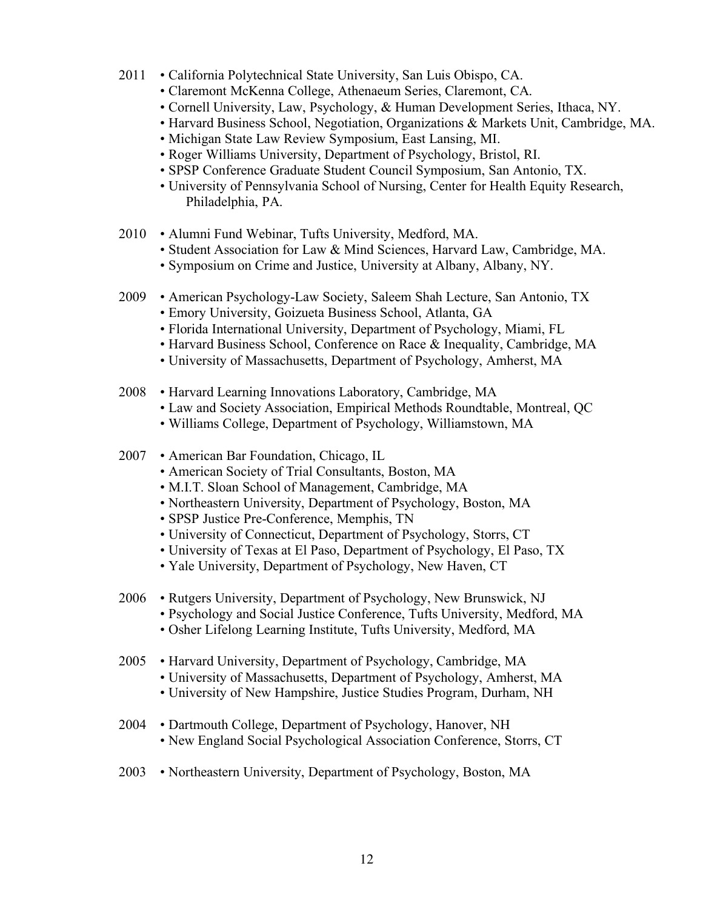- 2011 California Polytechnical State University, San Luis Obispo, CA.
	- Claremont McKenna College, Athenaeum Series, Claremont, CA.
	- Cornell University, Law, Psychology, & Human Development Series, Ithaca, NY.
	- Harvard Business School, Negotiation, Organizations & Markets Unit, Cambridge, MA.
	- Michigan State Law Review Symposium, East Lansing, MI.
	- Roger Williams University, Department of Psychology, Bristol, RI.
	- SPSP Conference Graduate Student Council Symposium, San Antonio, TX.
	- University of Pennsylvania School of Nursing, Center for Health Equity Research, Philadelphia, PA.
- 2010 Alumni Fund Webinar, Tufts University, Medford, MA.
	- Student Association for Law & Mind Sciences, Harvard Law, Cambridge, MA.
	- Symposium on Crime and Justice, University at Albany, Albany, NY.
- 2009 American Psychology-Law Society, Saleem Shah Lecture, San Antonio, TX
	- Emory University, Goizueta Business School, Atlanta, GA
	- Florida International University, Department of Psychology, Miami, FL
	- Harvard Business School, Conference on Race & Inequality, Cambridge, MA
	- University of Massachusetts, Department of Psychology, Amherst, MA
- 2008 Harvard Learning Innovations Laboratory, Cambridge, MA
	- Law and Society Association, Empirical Methods Roundtable, Montreal, QC
	- Williams College, Department of Psychology, Williamstown, MA
- 2007 American Bar Foundation, Chicago, IL
	- American Society of Trial Consultants, Boston, MA
	- M.I.T. Sloan School of Management, Cambridge, MA
	- Northeastern University, Department of Psychology, Boston, MA
	- SPSP Justice Pre-Conference, Memphis, TN
	- University of Connecticut, Department of Psychology, Storrs, CT
	- University of Texas at El Paso, Department of Psychology, El Paso, TX
	- Yale University, Department of Psychology, New Haven, CT
- 2006 Rutgers University, Department of Psychology, New Brunswick, NJ
	- Psychology and Social Justice Conference, Tufts University, Medford, MA
	- Osher Lifelong Learning Institute, Tufts University, Medford, MA
- 2005 Harvard University, Department of Psychology, Cambridge, MA
	- University of Massachusetts, Department of Psychology, Amherst, MA
		- University of New Hampshire, Justice Studies Program, Durham, NH
- 2004 Dartmouth College, Department of Psychology, Hanover, NH • New England Social Psychological Association Conference, Storrs, CT
- 2003 Northeastern University, Department of Psychology, Boston, MA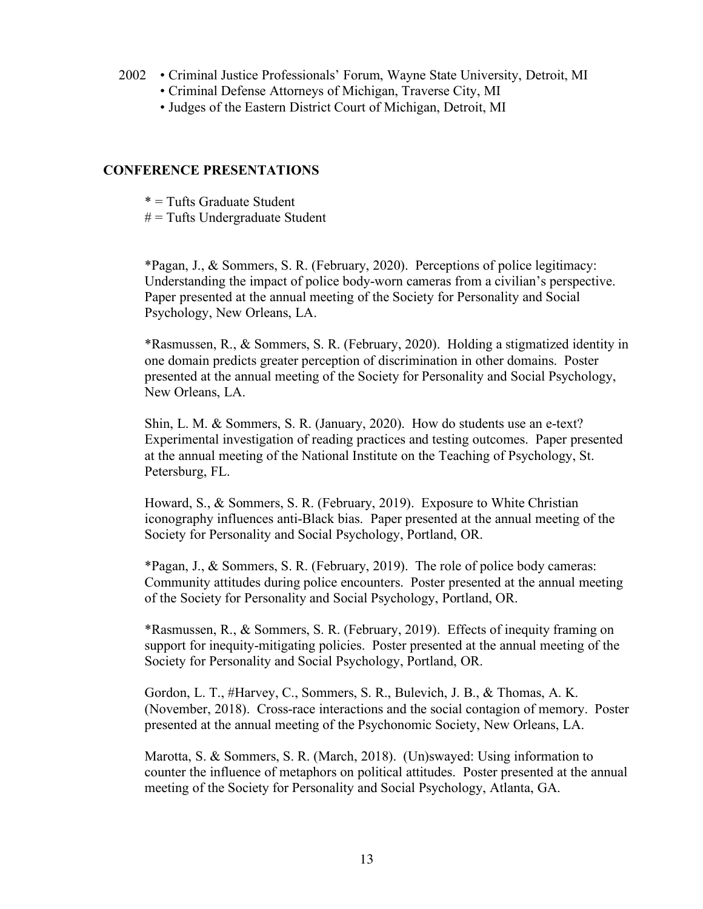- 2002 Criminal Justice Professionals' Forum, Wayne State University, Detroit, MI
	- Criminal Defense Attorneys of Michigan, Traverse City, MI
	- Judges of the Eastern District Court of Michigan, Detroit, MI

### **CONFERENCE PRESENTATIONS**

- \* = Tufts Graduate Student
- $#$  = Tufts Undergraduate Student

\*Pagan, J., & Sommers, S. R. (February, 2020). Perceptions of police legitimacy: Understanding the impact of police body-worn cameras from a civilian's perspective. Paper presented at the annual meeting of the Society for Personality and Social Psychology, New Orleans, LA.

\*Rasmussen, R., & Sommers, S. R. (February, 2020). Holding a stigmatized identity in one domain predicts greater perception of discrimination in other domains. Poster presented at the annual meeting of the Society for Personality and Social Psychology, New Orleans, LA.

Shin, L. M. & Sommers, S. R. (January, 2020). How do students use an e-text? Experimental investigation of reading practices and testing outcomes. Paper presented at the annual meeting of the National Institute on the Teaching of Psychology, St. Petersburg, FL.

Howard, S., & Sommers, S. R. (February, 2019). Exposure to White Christian iconography influences anti-Black bias. Paper presented at the annual meeting of the Society for Personality and Social Psychology, Portland, OR.

\*Pagan, J., & Sommers, S. R. (February, 2019). The role of police body cameras: Community attitudes during police encounters. Poster presented at the annual meeting of the Society for Personality and Social Psychology, Portland, OR.

\*Rasmussen, R., & Sommers, S. R. (February, 2019). Effects of inequity framing on support for inequity-mitigating policies. Poster presented at the annual meeting of the Society for Personality and Social Psychology, Portland, OR.

Gordon, L. T., #Harvey, C., Sommers, S. R., Bulevich, J. B., & Thomas, A. K. (November, 2018). Cross-race interactions and the social contagion of memory. Poster presented at the annual meeting of the Psychonomic Society, New Orleans, LA.

Marotta, S. & Sommers, S. R. (March, 2018). (Un)swayed: Using information to counter the influence of metaphors on political attitudes. Poster presented at the annual meeting of the Society for Personality and Social Psychology, Atlanta, GA.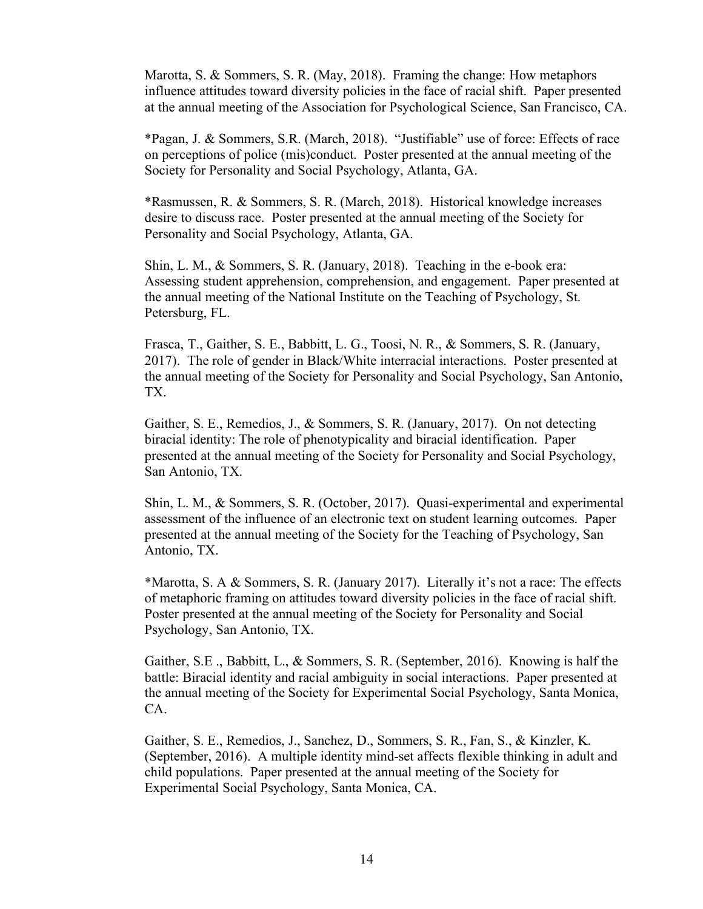Marotta, S. & Sommers, S. R. (May, 2018). Framing the change: How metaphors influence attitudes toward diversity policies in the face of racial shift. Paper presented at the annual meeting of the Association for Psychological Science, San Francisco, CA.

\*Pagan, J. & Sommers, S.R. (March, 2018). "Justifiable" use of force: Effects of race on perceptions of police (mis)conduct. Poster presented at the annual meeting of the Society for Personality and Social Psychology, Atlanta, GA.

\*Rasmussen, R. & Sommers, S. R. (March, 2018). Historical knowledge increases desire to discuss race. Poster presented at the annual meeting of the Society for Personality and Social Psychology, Atlanta, GA.

Shin, L. M., & Sommers, S. R. (January, 2018). Teaching in the e-book era: Assessing student apprehension, comprehension, and engagement. Paper presented at the annual meeting of the National Institute on the Teaching of Psychology, St. Petersburg, FL.

Frasca, T., Gaither, S. E., Babbitt, L. G., Toosi, N. R., & Sommers, S. R. (January, 2017). The role of gender in Black/White interracial interactions. Poster presented at the annual meeting of the Society for Personality and Social Psychology, San Antonio, TX.

Gaither, S. E., Remedios, J., & Sommers, S. R. (January, 2017). On not detecting biracial identity: The role of phenotypicality and biracial identification. Paper presented at the annual meeting of the Society for Personality and Social Psychology, San Antonio, TX.

Shin, L. M., & Sommers, S. R. (October, 2017). Quasi-experimental and experimental assessment of the influence of an electronic text on student learning outcomes. Paper presented at the annual meeting of the Society for the Teaching of Psychology, San Antonio, TX.

\*Marotta, S. A & Sommers, S. R. (January 2017). Literally it's not a race: The effects of metaphoric framing on attitudes toward diversity policies in the face of racial shift. Poster presented at the annual meeting of the Society for Personality and Social Psychology, San Antonio, TX.

Gaither, S.E ., Babbitt, L., & Sommers, S. R. (September, 2016). Knowing is half the battle: Biracial identity and racial ambiguity in social interactions. Paper presented at the annual meeting of the Society for Experimental Social Psychology, Santa Monica, CA.

Gaither, S. E., Remedios, J., Sanchez, D., Sommers, S. R., Fan, S., & Kinzler, K. (September, 2016). A multiple identity mind-set affects flexible thinking in adult and child populations. Paper presented at the annual meeting of the Society for Experimental Social Psychology, Santa Monica, CA.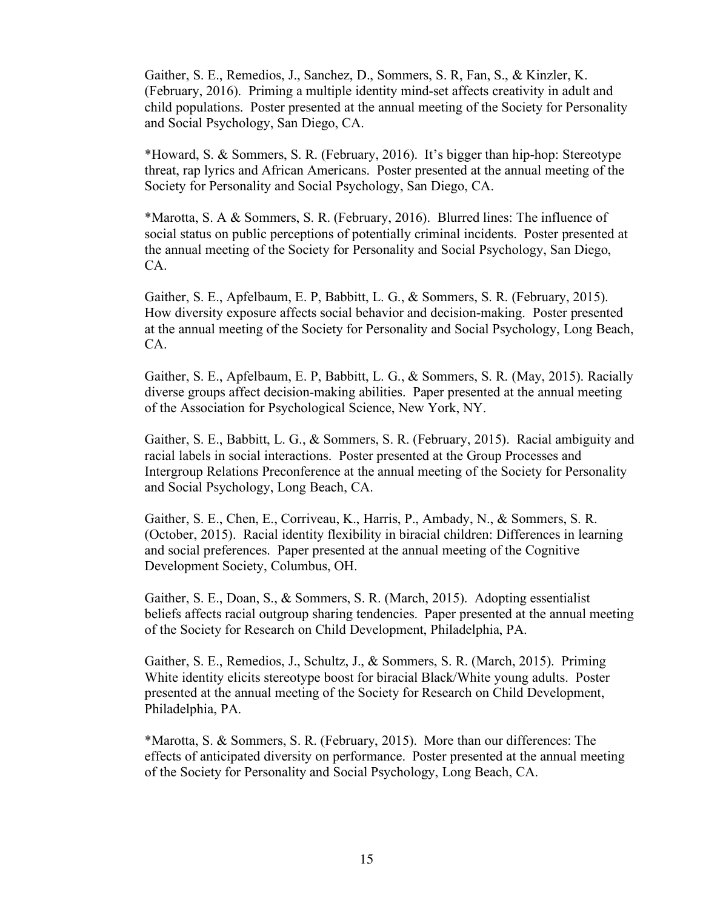Gaither, S. E., Remedios, J., Sanchez, D., Sommers, S. R, Fan, S., & Kinzler, K. (February, 2016). Priming a multiple identity mind-set affects creativity in adult and child populations. Poster presented at the annual meeting of the Society for Personality and Social Psychology, San Diego, CA.

\*Howard, S. & Sommers, S. R. (February, 2016). It's bigger than hip-hop: Stereotype threat, rap lyrics and African Americans. Poster presented at the annual meeting of the Society for Personality and Social Psychology, San Diego, CA.

\*Marotta, S. A & Sommers, S. R. (February, 2016). Blurred lines: The influence of social status on public perceptions of potentially criminal incidents. Poster presented at the annual meeting of the Society for Personality and Social Psychology, San Diego, CA.

Gaither, S. E., Apfelbaum, E. P, Babbitt, L. G., & Sommers, S. R. (February, 2015). How diversity exposure affects social behavior and decision-making. Poster presented at the annual meeting of the Society for Personality and Social Psychology, Long Beach, CA.

Gaither, S. E., Apfelbaum, E. P, Babbitt, L. G., & Sommers, S. R. (May, 2015). Racially diverse groups affect decision-making abilities. Paper presented at the annual meeting of the Association for Psychological Science, New York, NY.

Gaither, S. E., Babbitt, L. G., & Sommers, S. R. (February, 2015). Racial ambiguity and racial labels in social interactions. Poster presented at the Group Processes and Intergroup Relations Preconference at the annual meeting of the Society for Personality and Social Psychology, Long Beach, CA.

Gaither, S. E., Chen, E., Corriveau, K., Harris, P., Ambady, N., & Sommers, S. R. (October, 2015). Racial identity flexibility in biracial children: Differences in learning and social preferences. Paper presented at the annual meeting of the Cognitive Development Society, Columbus, OH.

Gaither, S. E., Doan, S., & Sommers, S. R. (March, 2015). Adopting essentialist beliefs affects racial outgroup sharing tendencies. Paper presented at the annual meeting of the Society for Research on Child Development, Philadelphia, PA.

Gaither, S. E., Remedios, J., Schultz, J., & Sommers, S. R. (March, 2015). Priming White identity elicits stereotype boost for biracial Black/White young adults. Poster presented at the annual meeting of the Society for Research on Child Development, Philadelphia, PA.

\*Marotta, S. & Sommers, S. R. (February, 2015). More than our differences: The effects of anticipated diversity on performance. Poster presented at the annual meeting of the Society for Personality and Social Psychology, Long Beach, CA.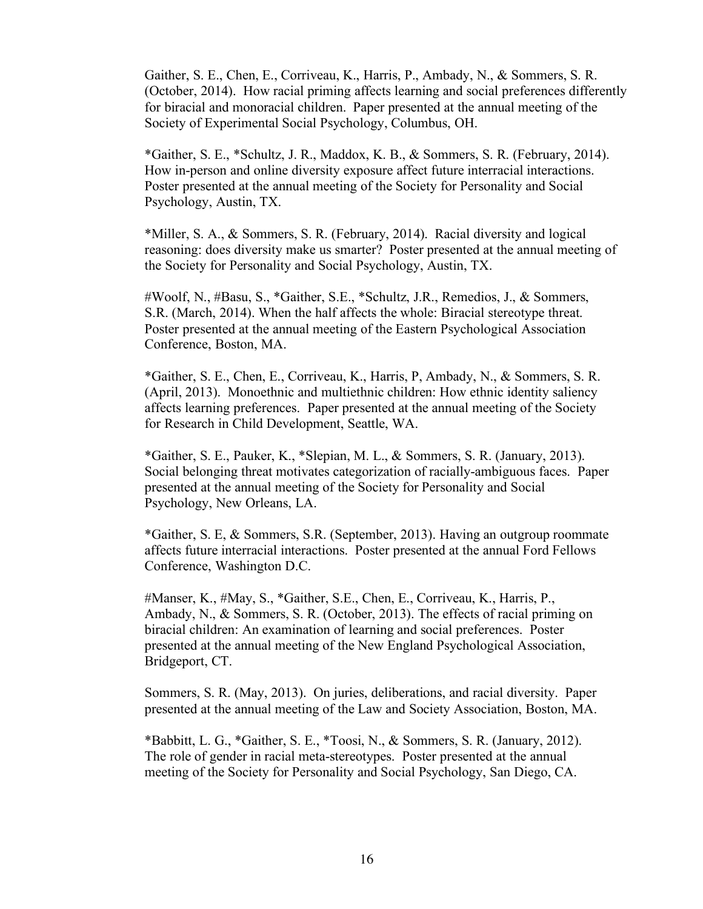Gaither, S. E., Chen, E., Corriveau, K., Harris, P., Ambady, N., & Sommers, S. R. (October, 2014). How racial priming affects learning and social preferences differently for biracial and monoracial children. Paper presented at the annual meeting of the Society of Experimental Social Psychology, Columbus, OH.

\*Gaither, S. E., \*Schultz, J. R., Maddox, K. B., & Sommers, S. R. (February, 2014). How in-person and online diversity exposure affect future interracial interactions. Poster presented at the annual meeting of the Society for Personality and Social Psychology, Austin, TX.

\*Miller, S. A., & Sommers, S. R. (February, 2014). Racial diversity and logical reasoning: does diversity make us smarter? Poster presented at the annual meeting of the Society for Personality and Social Psychology, Austin, TX.

#Woolf, N., #Basu, S., \*Gaither, S.E., \*Schultz, J.R., Remedios, J., & Sommers, S.R. (March, 2014). When the half affects the whole: Biracial stereotype threat. Poster presented at the annual meeting of the Eastern Psychological Association Conference, Boston, MA.

\*Gaither, S. E., Chen, E., Corriveau, K., Harris, P, Ambady, N., & Sommers, S. R. (April, 2013). Monoethnic and multiethnic children: How ethnic identity saliency affects learning preferences. Paper presented at the annual meeting of the Society for Research in Child Development, Seattle, WA.

\*Gaither, S. E., Pauker, K., \*Slepian, M. L., & Sommers, S. R. (January, 2013). Social belonging threat motivates categorization of racially-ambiguous faces. Paper presented at the annual meeting of the Society for Personality and Social Psychology, New Orleans, LA.

\*Gaither, S. E, & Sommers, S.R. (September, 2013). Having an outgroup roommate affects future interracial interactions. Poster presented at the annual Ford Fellows Conference, Washington D.C.

#Manser, K., #May, S., \*Gaither, S.E., Chen, E., Corriveau, K., Harris, P., Ambady, N., & Sommers, S. R. (October, 2013). The effects of racial priming on biracial children: An examination of learning and social preferences. Poster presented at the annual meeting of the New England Psychological Association, Bridgeport, CT.

Sommers, S. R. (May, 2013). On juries, deliberations, and racial diversity. Paper presented at the annual meeting of the Law and Society Association, Boston, MA.

\*Babbitt, L. G., \*Gaither, S. E., \*Toosi, N., & Sommers, S. R. (January, 2012). The role of gender in racial meta-stereotypes. Poster presented at the annual meeting of the Society for Personality and Social Psychology, San Diego, CA.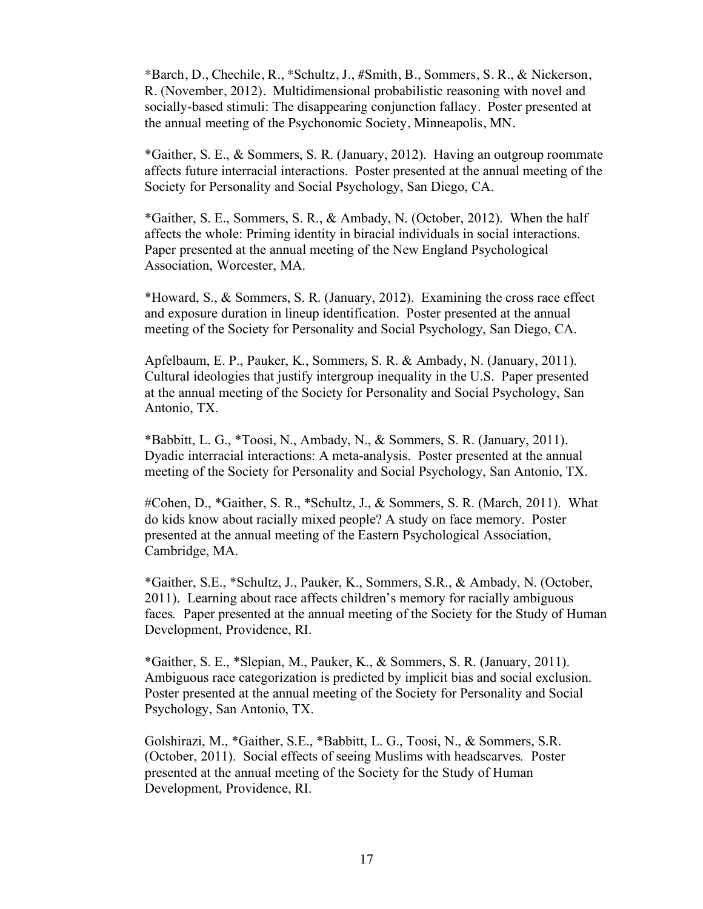\*Barch, D., Chechile, R., \*Schultz, J., #Smith, B., Sommers, S. R., & Nickerson, R. (November, 2012). Multidimensional probabilistic reasoning with novel and socially-based stimuli: The disappearing conjunction fallacy. Poster presented at the annual meeting of the Psychonomic Society, Minneapolis, MN.

\*Gaither, S. E., & Sommers, S. R. (January, 2012). Having an outgroup roommate affects future interracial interactions. Poster presented at the annual meeting of the Society for Personality and Social Psychology, San Diego, CA.

\*Gaither, S. E., Sommers, S. R., & Ambady, N. (October, 2012). When the half affects the whole: Priming identity in biracial individuals in social interactions. Paper presented at the annual meeting of the New England Psychological Association, Worcester, MA.

\*Howard, S., & Sommers, S. R. (January, 2012). Examining the cross race effect and exposure duration in lineup identification. Poster presented at the annual meeting of the Society for Personality and Social Psychology, San Diego, CA.

Apfelbaum, E. P., Pauker, K., Sommers, S. R. & Ambady, N. (January, 2011). Cultural ideologies that justify intergroup inequality in the U.S. Paper presented at the annual meeting of the Society for Personality and Social Psychology, San Antonio, TX.

\*Babbitt, L. G., \*Toosi, N., Ambady, N., & Sommers, S. R. (January, 2011). Dyadic interracial interactions: A meta-analysis. Poster presented at the annual meeting of the Society for Personality and Social Psychology, San Antonio, TX.

#Cohen, D., \*Gaither, S. R., \*Schultz, J., & Sommers, S. R. (March, 2011). What do kids know about racially mixed people? A study on face memory. Poster presented at the annual meeting of the Eastern Psychological Association, Cambridge, MA.

\*Gaither, S.E., \*Schultz, J., Pauker, K., Sommers, S.R., & Ambady, N. (October, 2011). Learning about race affects children's memory for racially ambiguous faces*.* Paper presented at the annual meeting of the Society for the Study of Human Development, Providence, RI.

\*Gaither, S. E., \*Slepian, M., Pauker, K., & Sommers, S. R. (January, 2011). Ambiguous race categorization is predicted by implicit bias and social exclusion. Poster presented at the annual meeting of the Society for Personality and Social Psychology, San Antonio, TX.

Golshirazi, M., \*Gaither, S.E., \*Babbitt, L. G., Toosi, N., & Sommers, S.R. (October, 2011). Social effects of seeing Muslims with headscarves*.* Poster presented at the annual meeting of the Society for the Study of Human Development, Providence, RI.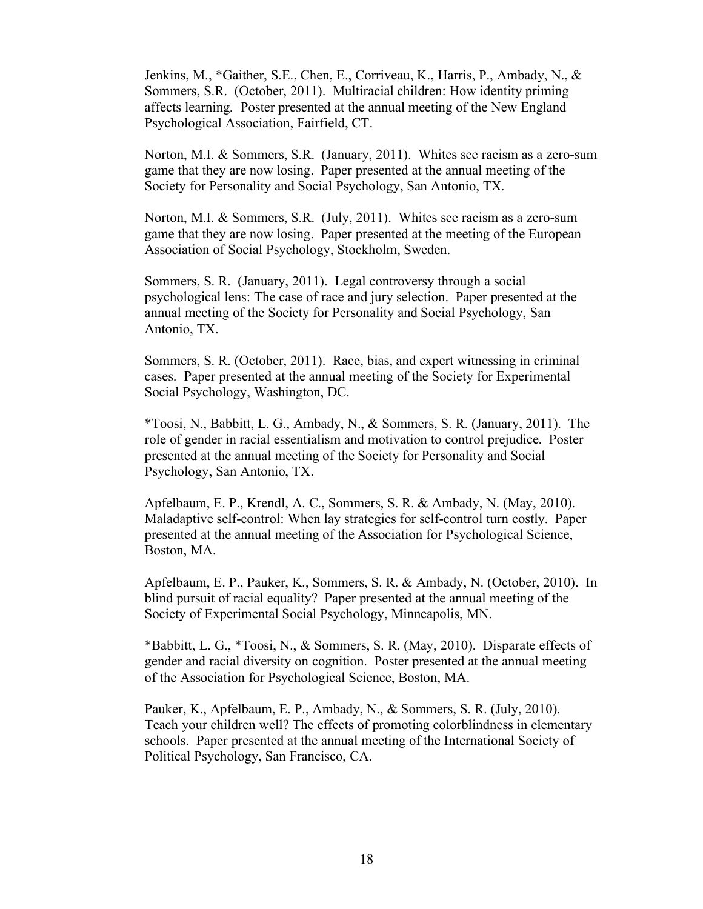Jenkins, M., \*Gaither, S.E., Chen, E., Corriveau, K., Harris, P., Ambady, N., & Sommers, S.R. (October, 2011). Multiracial children: How identity priming affects learning*.* Poster presented at the annual meeting of the New England Psychological Association, Fairfield, CT.

Norton, M.I. & Sommers, S.R. (January, 2011). Whites see racism as a zero-sum game that they are now losing. Paper presented at the annual meeting of the Society for Personality and Social Psychology, San Antonio, TX.

Norton, M.I. & Sommers, S.R. (July, 2011). Whites see racism as a zero-sum game that they are now losing. Paper presented at the meeting of the European Association of Social Psychology, Stockholm, Sweden.

Sommers, S. R. (January, 2011). Legal controversy through a social psychological lens: The case of race and jury selection. Paper presented at the annual meeting of the Society for Personality and Social Psychology, San Antonio, TX.

Sommers, S. R. (October, 2011). Race, bias, and expert witnessing in criminal cases. Paper presented at the annual meeting of the Society for Experimental Social Psychology, Washington, DC.

\*Toosi, N., Babbitt, L. G., Ambady, N., & Sommers, S. R. (January, 2011). The role of gender in racial essentialism and motivation to control prejudice. Poster presented at the annual meeting of the Society for Personality and Social Psychology, San Antonio, TX.

Apfelbaum, E. P., Krendl, A. C., Sommers, S. R. & Ambady, N. (May, 2010). Maladaptive self-control: When lay strategies for self-control turn costly. Paper presented at the annual meeting of the Association for Psychological Science, Boston, MA.

Apfelbaum, E. P., Pauker, K., Sommers, S. R. & Ambady, N. (October, 2010). In blind pursuit of racial equality? Paper presented at the annual meeting of the Society of Experimental Social Psychology, Minneapolis, MN.

\*Babbitt, L. G., \*Toosi, N., & Sommers, S. R. (May, 2010). Disparate effects of gender and racial diversity on cognition. Poster presented at the annual meeting of the Association for Psychological Science, Boston, MA.

Pauker, K., Apfelbaum, E. P., Ambady, N., & Sommers, S. R. (July, 2010). Teach your children well? The effects of promoting colorblindness in elementary schools. Paper presented at the annual meeting of the International Society of Political Psychology, San Francisco, CA.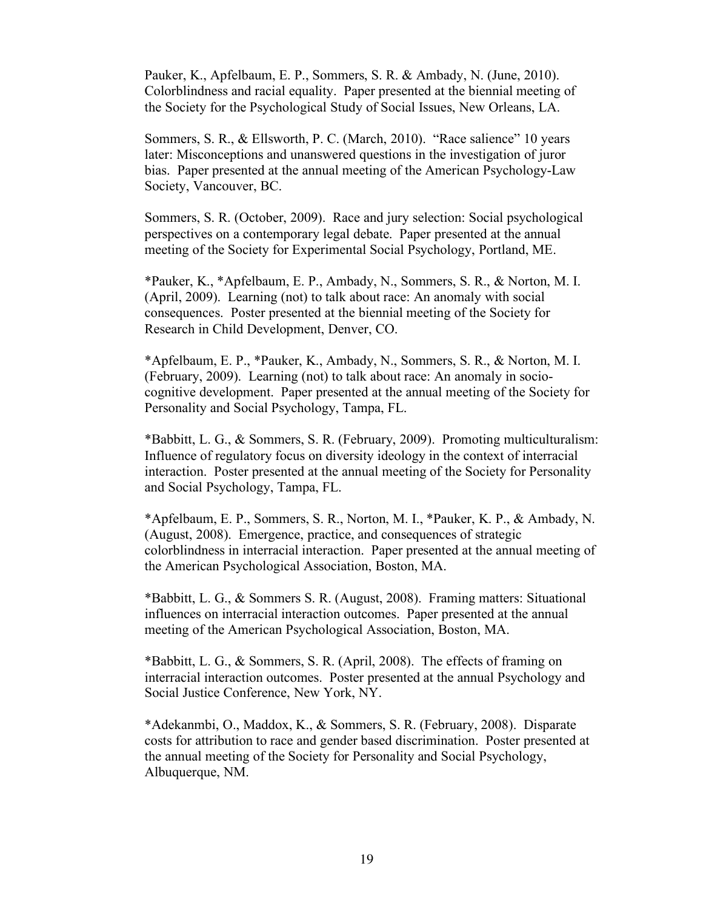Pauker, K., Apfelbaum, E. P., Sommers, S. R. & Ambady, N. (June, 2010). Colorblindness and racial equality. Paper presented at the biennial meeting of the Society for the Psychological Study of Social Issues, New Orleans, LA.

Sommers, S. R., & Ellsworth, P. C. (March, 2010). "Race salience" 10 years later: Misconceptions and unanswered questions in the investigation of juror bias. Paper presented at the annual meeting of the American Psychology-Law Society, Vancouver, BC.

Sommers, S. R. (October, 2009). Race and jury selection: Social psychological perspectives on a contemporary legal debate. Paper presented at the annual meeting of the Society for Experimental Social Psychology, Portland, ME.

\*Pauker, K., \*Apfelbaum, E. P., Ambady, N., Sommers, S. R., & Norton, M. I. (April, 2009). Learning (not) to talk about race: An anomaly with social consequences. Poster presented at the biennial meeting of the Society for Research in Child Development, Denver, CO.

\*Apfelbaum, E. P., \*Pauker, K., Ambady, N., Sommers, S. R., & Norton, M. I. (February, 2009). Learning (not) to talk about race: An anomaly in sociocognitive development. Paper presented at the annual meeting of the Society for Personality and Social Psychology, Tampa, FL.

\*Babbitt, L. G., & Sommers, S. R. (February, 2009). Promoting multiculturalism: Influence of regulatory focus on diversity ideology in the context of interracial interaction. Poster presented at the annual meeting of the Society for Personality and Social Psychology, Tampa, FL.

\*Apfelbaum, E. P., Sommers, S. R., Norton, M. I., \*Pauker, K. P., & Ambady, N. (August, 2008). Emergence, practice, and consequences of strategic colorblindness in interracial interaction. Paper presented at the annual meeting of the American Psychological Association, Boston, MA.

\*Babbitt, L. G., & Sommers S. R. (August, 2008). Framing matters: Situational influences on interracial interaction outcomes. Paper presented at the annual meeting of the American Psychological Association, Boston, MA.

\*Babbitt, L. G., & Sommers, S. R. (April, 2008). The effects of framing on interracial interaction outcomes. Poster presented at the annual Psychology and Social Justice Conference, New York, NY.

\*Adekanmbi, O., Maddox, K., & Sommers, S. R. (February, 2008). Disparate costs for attribution to race and gender based discrimination. Poster presented at the annual meeting of the Society for Personality and Social Psychology, Albuquerque, NM.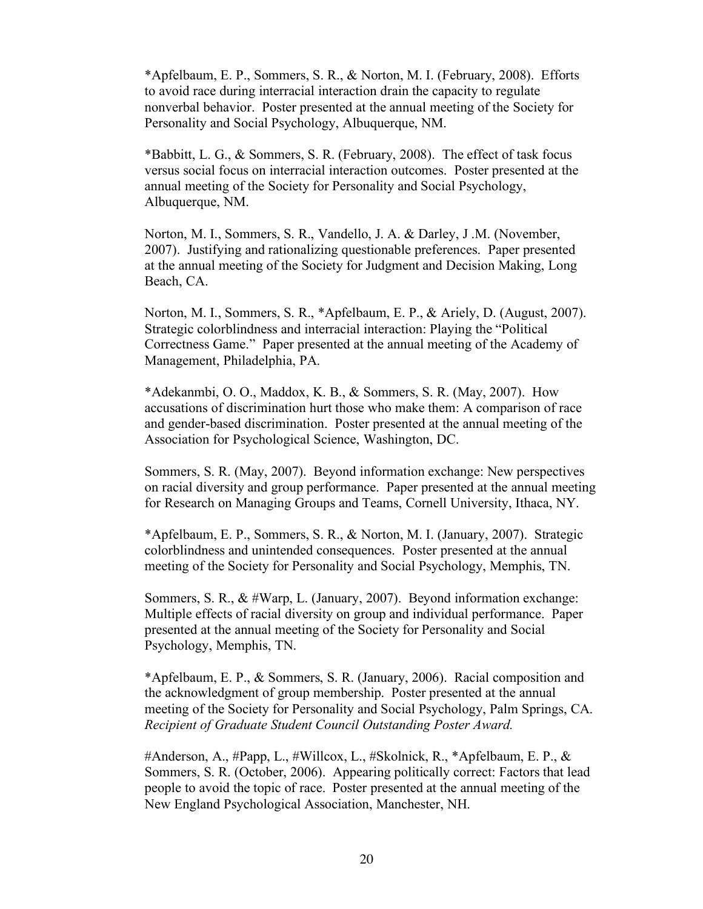\*Apfelbaum, E. P., Sommers, S. R., & Norton, M. I. (February, 2008). Efforts to avoid race during interracial interaction drain the capacity to regulate nonverbal behavior. Poster presented at the annual meeting of the Society for Personality and Social Psychology, Albuquerque, NM.

\*Babbitt, L. G., & Sommers, S. R. (February, 2008). The effect of task focus versus social focus on interracial interaction outcomes. Poster presented at the annual meeting of the Society for Personality and Social Psychology, Albuquerque, NM.

Norton, M. I., Sommers, S. R., Vandello, J. A. & Darley, J .M. (November, 2007). Justifying and rationalizing questionable preferences. Paper presented at the annual meeting of the Society for Judgment and Decision Making, Long Beach, CA.

Norton, M. I., Sommers, S. R., \*Apfelbaum, E. P., & Ariely, D. (August, 2007). Strategic colorblindness and interracial interaction: Playing the "Political Correctness Game." Paper presented at the annual meeting of the Academy of Management, Philadelphia, PA.

\*Adekanmbi, O. O., Maddox, K. B., & Sommers, S. R. (May, 2007). How accusations of discrimination hurt those who make them: A comparison of race and gender-based discrimination. Poster presented at the annual meeting of the Association for Psychological Science, Washington, DC.

Sommers, S. R. (May, 2007). Beyond information exchange: New perspectives on racial diversity and group performance. Paper presented at the annual meeting for Research on Managing Groups and Teams, Cornell University, Ithaca, NY.

\*Apfelbaum, E. P., Sommers, S. R., & Norton, M. I. (January, 2007). Strategic colorblindness and unintended consequences. Poster presented at the annual meeting of the Society for Personality and Social Psychology, Memphis, TN.

Sommers, S. R., & #Warp, L. (January, 2007). Beyond information exchange: Multiple effects of racial diversity on group and individual performance. Paper presented at the annual meeting of the Society for Personality and Social Psychology, Memphis, TN.

\*Apfelbaum, E. P., & Sommers, S. R. (January, 2006). Racial composition and the acknowledgment of group membership. Poster presented at the annual meeting of the Society for Personality and Social Psychology, Palm Springs, CA. *Recipient of Graduate Student Council Outstanding Poster Award.*

#Anderson, A., #Papp, L., #Willcox, L., #Skolnick, R., \*Apfelbaum, E. P., & Sommers, S. R. (October, 2006). Appearing politically correct: Factors that lead people to avoid the topic of race. Poster presented at the annual meeting of the New England Psychological Association, Manchester, NH.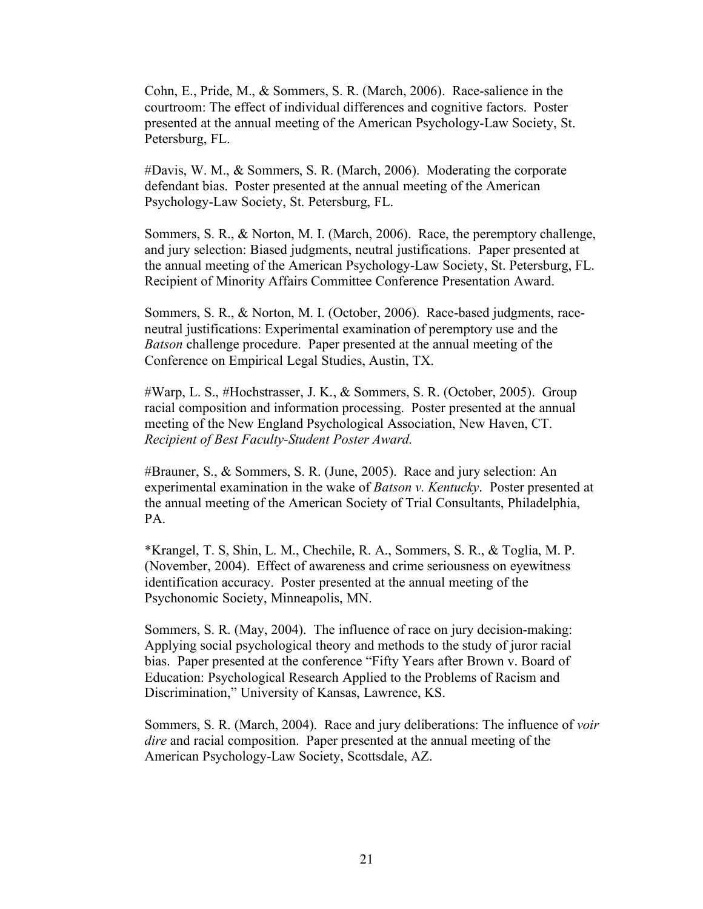Cohn, E., Pride, M., & Sommers, S. R. (March, 2006). Race-salience in the courtroom: The effect of individual differences and cognitive factors. Poster presented at the annual meeting of the American Psychology-Law Society, St. Petersburg, FL.

#Davis, W. M., & Sommers, S. R. (March, 2006). Moderating the corporate defendant bias. Poster presented at the annual meeting of the American Psychology-Law Society, St. Petersburg, FL.

Sommers, S. R., & Norton, M. I. (March, 2006). Race, the peremptory challenge, and jury selection: Biased judgments, neutral justifications. Paper presented at the annual meeting of the American Psychology-Law Society, St. Petersburg, FL. Recipient of Minority Affairs Committee Conference Presentation Award.

Sommers, S. R., & Norton, M. I. (October, 2006). Race-based judgments, raceneutral justifications: Experimental examination of peremptory use and the *Batson* challenge procedure. Paper presented at the annual meeting of the Conference on Empirical Legal Studies, Austin, TX.

#Warp, L. S., #Hochstrasser, J. K., & Sommers, S. R. (October, 2005). Group racial composition and information processing. Poster presented at the annual meeting of the New England Psychological Association, New Haven, CT. *Recipient of Best Faculty-Student Poster Award.*

#Brauner, S., & Sommers, S. R. (June, 2005). Race and jury selection: An experimental examination in the wake of *Batson v. Kentucky*. Poster presented at the annual meeting of the American Society of Trial Consultants, Philadelphia, PA.

\*Krangel, T. S, Shin, L. M., Chechile, R. A., Sommers, S. R., & Toglia, M. P. (November, 2004). Effect of awareness and crime seriousness on eyewitness identification accuracy. Poster presented at the annual meeting of the Psychonomic Society, Minneapolis, MN.

Sommers, S. R. (May, 2004). The influence of race on jury decision-making: Applying social psychological theory and methods to the study of juror racial bias. Paper presented at the conference "Fifty Years after Brown v. Board of Education: Psychological Research Applied to the Problems of Racism and Discrimination," University of Kansas, Lawrence, KS.

Sommers, S. R. (March, 2004). Race and jury deliberations: The influence of *voir dire* and racial composition. Paper presented at the annual meeting of the American Psychology-Law Society, Scottsdale, AZ.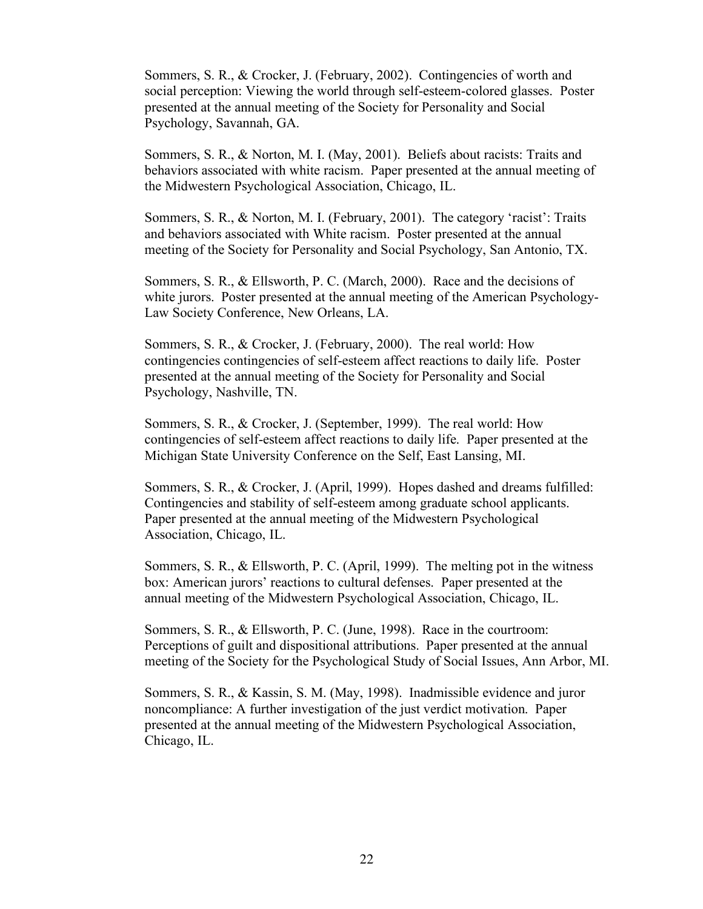Sommers, S. R., & Crocker, J. (February, 2002). Contingencies of worth and social perception: Viewing the world through self-esteem-colored glasses. Poster presented at the annual meeting of the Society for Personality and Social Psychology, Savannah, GA.

Sommers, S. R., & Norton, M. I. (May, 2001). Beliefs about racists: Traits and behaviors associated with white racism. Paper presented at the annual meeting of the Midwestern Psychological Association, Chicago, IL.

Sommers, S. R., & Norton, M. I. (February, 2001). The category 'racist': Traits and behaviors associated with White racism. Poster presented at the annual meeting of the Society for Personality and Social Psychology, San Antonio, TX.

Sommers, S. R., & Ellsworth, P. C. (March, 2000). Race and the decisions of white jurors. Poster presented at the annual meeting of the American Psychology-Law Society Conference, New Orleans, LA.

Sommers, S. R., & Crocker, J. (February, 2000). The real world: How contingencies contingencies of self-esteem affect reactions to daily life. Poster presented at the annual meeting of the Society for Personality and Social Psychology, Nashville, TN.

Sommers, S. R., & Crocker, J. (September, 1999). The real world: How contingencies of self-esteem affect reactions to daily life. Paper presented at the Michigan State University Conference on the Self, East Lansing, MI.

Sommers, S. R., & Crocker, J. (April, 1999). Hopes dashed and dreams fulfilled: Contingencies and stability of self-esteem among graduate school applicants. Paper presented at the annual meeting of the Midwestern Psychological Association, Chicago, IL.

Sommers, S. R., & Ellsworth, P. C. (April, 1999). The melting pot in the witness box: American jurors' reactions to cultural defenses. Paper presented at the annual meeting of the Midwestern Psychological Association, Chicago, IL.

Sommers, S. R., & Ellsworth, P. C. (June, 1998). Race in the courtroom: Perceptions of guilt and dispositional attributions. Paper presented at the annual meeting of the Society for the Psychological Study of Social Issues, Ann Arbor, MI.

Sommers, S. R., & Kassin, S. M. (May, 1998). Inadmissible evidence and juror noncompliance: A further investigation of the just verdict motivation. Paper presented at the annual meeting of the Midwestern Psychological Association, Chicago, IL.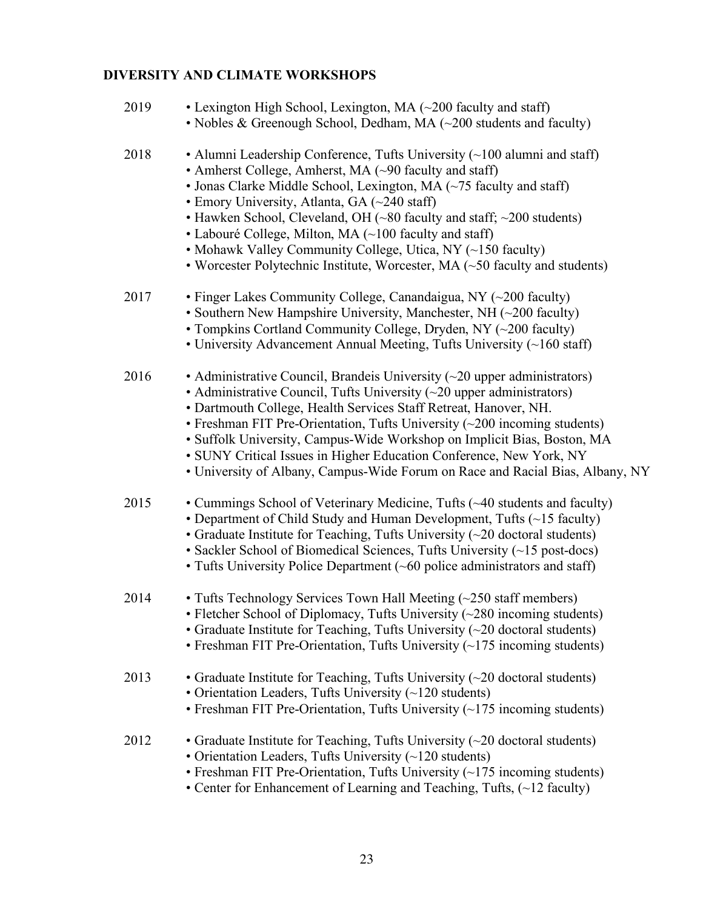# **DIVERSITY AND CLIMATE WORKSHOPS**

| 2019 | • Lexington High School, Lexington, MA (~200 faculty and staff)<br>• Nobles & Greenough School, Dedham, MA (~200 students and faculty)                                                                                                                                                                                                                                                                                                                                                                                                                                   |
|------|--------------------------------------------------------------------------------------------------------------------------------------------------------------------------------------------------------------------------------------------------------------------------------------------------------------------------------------------------------------------------------------------------------------------------------------------------------------------------------------------------------------------------------------------------------------------------|
| 2018 | • Alumni Leadership Conference, Tufts University $(\sim 100$ alumni and staff)<br>• Amherst College, Amherst, MA (~90 faculty and staff)<br>• Jonas Clarke Middle School, Lexington, MA $(\sim 75$ faculty and staff)<br>• Emory University, Atlanta, GA (~240 staff)<br>• Hawken School, Cleveland, OH $(\sim 80$ faculty and staff; $\sim 200$ students)<br>• Labouré College, Milton, MA (~100 faculty and staff)<br>• Mohawk Valley Community College, Utica, NY (~150 faculty)<br>• Worcester Polytechnic Institute, Worcester, MA $(\sim 50$ faculty and students) |
| 2017 | • Finger Lakes Community College, Canandaigua, NY $(\sim 200$ faculty)<br>• Southern New Hampshire University, Manchester, NH $(\sim 200$ faculty)<br>• Tompkins Cortland Community College, Dryden, NY (~200 faculty)<br>• University Advancement Annual Meeting, Tufts University $(\sim]160$ staff)                                                                                                                                                                                                                                                                   |
| 2016 | • Administrative Council, Brandeis University $(\sim 20$ upper administrators)<br>• Administrative Council, Tufts University $(\sim 20$ upper administrators)<br>• Dartmouth College, Health Services Staff Retreat, Hanover, NH.<br>• Freshman FIT Pre-Orientation, Tufts University $(\sim 200$ incoming students)<br>• Suffolk University, Campus-Wide Workshop on Implicit Bias, Boston, MA<br>• SUNY Critical Issues in Higher Education Conference, New York, NY<br>• University of Albany, Campus-Wide Forum on Race and Racial Bias, Albany, NY                  |
| 2015 | • Cummings School of Veterinary Medicine, Tufts (~40 students and faculty)<br>• Department of Child Study and Human Development, Tufts (~15 faculty)<br>• Graduate Institute for Teaching, Tufts University $(\sim 20$ doctoral students)<br>• Sackler School of Biomedical Sciences, Tufts University (~15 post-docs)<br>• Tufts University Police Department $(\sim 60$ police administrators and staff)                                                                                                                                                               |
| 2014 | • Tufts Technology Services Town Hall Meeting (~250 staff members)<br>• Fletcher School of Diplomacy, Tufts University (~280 incoming students)<br>• Graduate Institute for Teaching, Tufts University $(\sim 20$ doctoral students)<br>• Freshman FIT Pre-Orientation, Tufts University (~175 incoming students)                                                                                                                                                                                                                                                        |
| 2013 | • Graduate Institute for Teaching, Tufts University $(\sim 20$ doctoral students)<br>• Orientation Leaders, Tufts University (~120 students)<br>• Freshman FIT Pre-Orientation, Tufts University $(\sim 175$ incoming students)                                                                                                                                                                                                                                                                                                                                          |
| 2012 | • Graduate Institute for Teaching, Tufts University $(\sim 20 \text{ doctoral students})$<br>• Orientation Leaders, Tufts University $(\sim 120$ students)<br>• Freshman FIT Pre-Orientation, Tufts University $(\sim 175$ incoming students)<br>• Center for Enhancement of Learning and Teaching, Tufts, $(\sim 12$ faculty)                                                                                                                                                                                                                                           |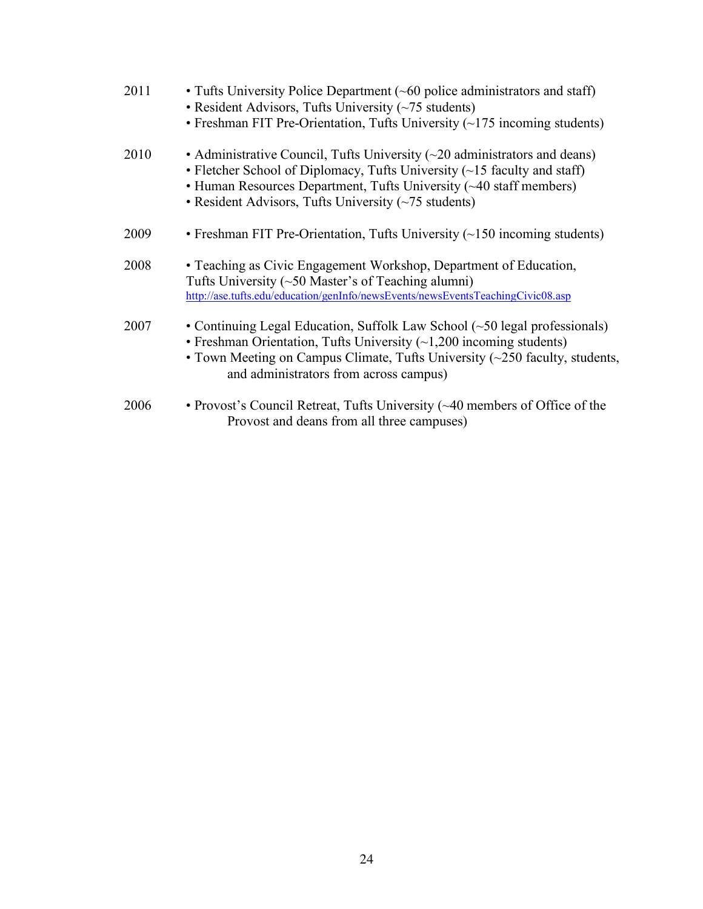| 2011 | • Tufts University Police Department $(\sim 60$ police administrators and staff)<br>• Resident Advisors, Tufts University $(\sim 75$ students)<br>• Freshman FIT Pre-Orientation, Tufts University $(\sim 175$ incoming students)                                                                     |
|------|-------------------------------------------------------------------------------------------------------------------------------------------------------------------------------------------------------------------------------------------------------------------------------------------------------|
| 2010 | • Administrative Council, Tufts University $(\sim 20$ administrators and deans)<br>• Fletcher School of Diplomacy, Tufts University $(\sim 15$ faculty and staff)<br>• Human Resources Department, Tufts University (~40 staff members)<br>• Resident Advisors, Tufts University $(\sim 75$ students) |
| 2009 | • Freshman FIT Pre-Orientation, Tufts University $(\sim 150$ incoming students)                                                                                                                                                                                                                       |
| 2008 | • Teaching as Civic Engagement Workshop, Department of Education,<br>Tufts University $(\sim 50$ Master's of Teaching alumni)<br>http://ase.tufts.edu/education/genInfo/newsEvents/newsEventsTeachingCivic08.asp                                                                                      |
| 2007 | • Continuing Legal Education, Suffolk Law School (~50 legal professionals)<br>• Freshman Orientation, Tufts University $(-1,200$ incoming students)<br>• Town Meeting on Campus Climate, Tufts University $(\sim 250$ faculty, students,<br>and administrators from across campus)                    |
| 2006 | • Provost's Council Retreat, Tufts University (~40 members of Office of the<br>Provost and deans from all three campuses)                                                                                                                                                                             |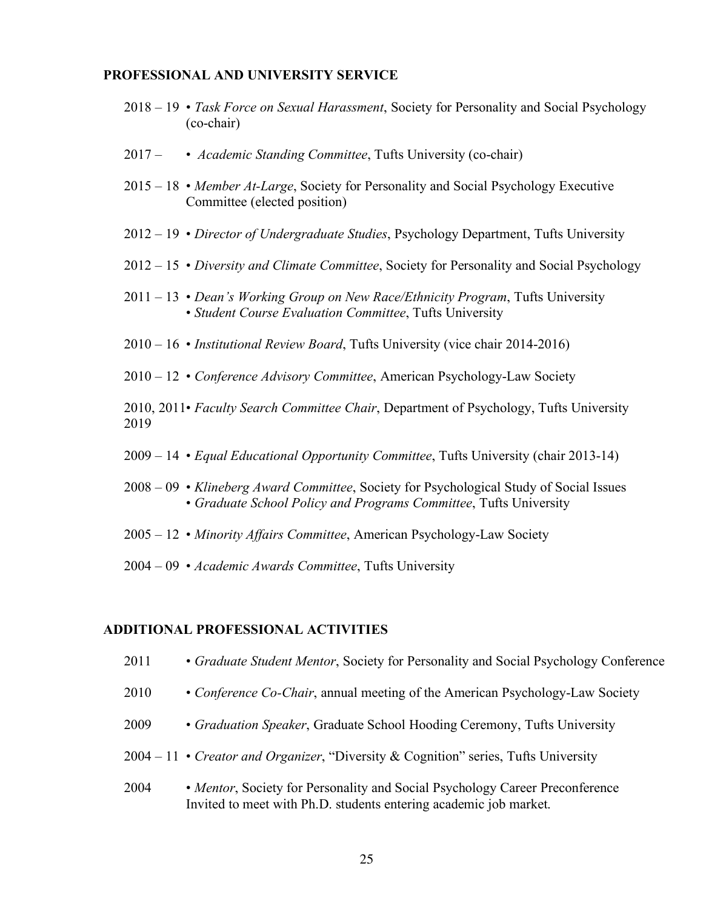### **PROFESSIONAL AND UNIVERSITY SERVICE**

- 2018 19 *Task Force on Sexual Harassment*, Society for Personality and Social Psychology (co-chair)
- 2017 • *Academic Standing Committee*, Tufts University (co-chair)
- 2015 18 *Member At-Large*, Society for Personality and Social Psychology Executive Committee (elected position)
- 2012 19 *Director of Undergraduate Studies*, Psychology Department, Tufts University
- 2012 15 *Diversity and Climate Committee*, Society for Personality and Social Psychology
- 2011 13 *Dean's Working Group on New Race/Ethnicity Program*, Tufts University • *Student Course Evaluation Committee*, Tufts University
- 2010 16 *Institutional Review Board*, Tufts University (vice chair 2014-2016)
- 2010 12 *Conference Advisory Committee*, American Psychology-Law Society
- 2010, 2011• *Faculty Search Committee Chair*, Department of Psychology, Tufts University 2019
- 2009 14 *Equal Educational Opportunity Committee*, Tufts University (chair 2013-14)
- 2008 09 *Klineberg Award Committee*, Society for Psychological Study of Social Issues • *Graduate School Policy and Programs Committee*, Tufts University
- 2005 12 *Minority Affairs Committee*, American Psychology-Law Society
- 2004 09 *Academic Awards Committee*, Tufts University

#### **ADDITIONAL PROFESSIONAL ACTIVITIES**

- 2011 *Graduate Student Mentor*, Society for Personality and Social Psychology Conference
- 2010 *Conference Co-Chair*, annual meeting of the American Psychology-Law Society
- 2009 *Graduation Speaker*, Graduate School Hooding Ceremony, Tufts University
- 2004 11 *Creator and Organizer*, "Diversity & Cognition" series, Tufts University
- 2004 *Mentor*, Society for Personality and Social Psychology Career Preconference Invited to meet with Ph.D. students entering academic job market.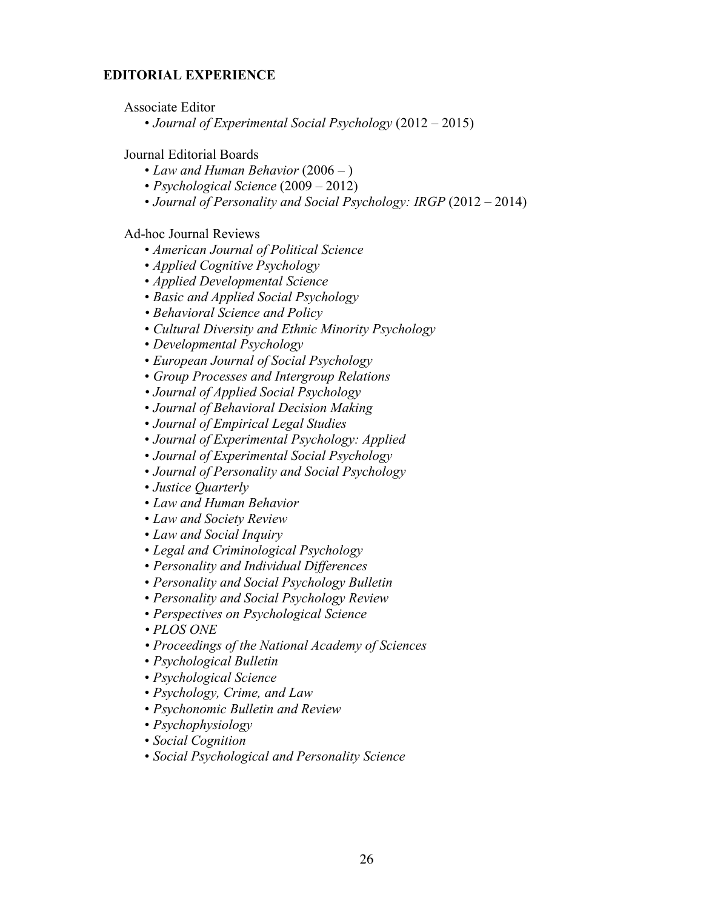### **EDITORIAL EXPERIENCE**

Associate Editor

• *Journal of Experimental Social Psychology* (2012 – 2015)

Journal Editorial Boards

- *Law and Human Behavior* (2006 )
- *Psychological Science* (2009 2012)
- *Journal of Personality and Social Psychology: IRGP* (2012 2014)

Ad-hoc Journal Reviews

- *American Journal of Political Science*
- *Applied Cognitive Psychology*
- *Applied Developmental Science*
- *Basic and Applied Social Psychology*
- *• Behavioral Science and Policy*
- *Cultural Diversity and Ethnic Minority Psychology*
- *Developmental Psychology*
- *European Journal of Social Psychology*
- *Group Processes and Intergroup Relations*
- *Journal of Applied Social Psychology*
- *Journal of Behavioral Decision Making*
- *Journal of Empirical Legal Studies*
- *Journal of Experimental Psychology: Applied*
- *Journal of Experimental Social Psychology*
- *Journal of Personality and Social Psychology*
- *Justice Quarterly*
- *Law and Human Behavior*
- *Law and Society Review*
- *Law and Social Inquiry*
- *Legal and Criminological Psychology*
- *Personality and Individual Differences*
- *Personality and Social Psychology Bulletin*
- *Personality and Social Psychology Review*
- *Perspectives on Psychological Science*
- *PLOS ONE*
- *Proceedings of the National Academy of Sciences*
- *Psychological Bulletin*
- *Psychological Science*
- *Psychology, Crime, and Law*
- *Psychonomic Bulletin and Review*
- *Psychophysiology*
- *Social Cognition*
- *Social Psychological and Personality Science*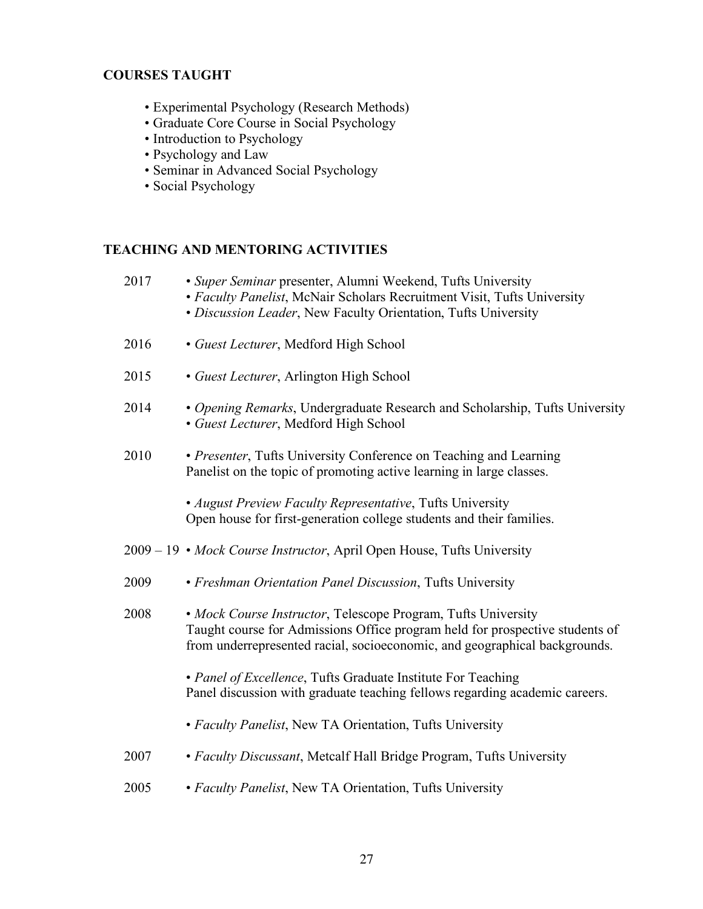## **COURSES TAUGHT**

- Experimental Psychology (Research Methods)
- Graduate Core Course in Social Psychology
- Introduction to Psychology
- Psychology and Law
- Seminar in Advanced Social Psychology
- Social Psychology

# **TEACHING AND MENTORING ACTIVITIES**

| 2017 | · Super Seminar presenter, Alumni Weekend, Tufts University<br>• Faculty Panelist, McNair Scholars Recruitment Visit, Tufts University<br>· Discussion Leader, New Faculty Orientation, Tufts University                    |
|------|-----------------------------------------------------------------------------------------------------------------------------------------------------------------------------------------------------------------------------|
| 2016 | • Guest Lecturer, Medford High School                                                                                                                                                                                       |
| 2015 | • Guest Lecturer, Arlington High School                                                                                                                                                                                     |
| 2014 | • Opening Remarks, Undergraduate Research and Scholarship, Tufts University<br>· Guest Lecturer, Medford High School                                                                                                        |
| 2010 | · Presenter, Tufts University Conference on Teaching and Learning<br>Panelist on the topic of promoting active learning in large classes.                                                                                   |
|      | • August Preview Faculty Representative, Tufts University<br>Open house for first-generation college students and their families.                                                                                           |
|      | 2009 – 19 • Mock Course Instructor, April Open House, Tufts University                                                                                                                                                      |
|      |                                                                                                                                                                                                                             |
| 2009 | • Freshman Orientation Panel Discussion, Tufts University                                                                                                                                                                   |
| 2008 | • Mock Course Instructor, Telescope Program, Tufts University<br>Taught course for Admissions Office program held for prospective students of<br>from underrepresented racial, socioeconomic, and geographical backgrounds. |
|      | • Panel of Excellence, Tufts Graduate Institute For Teaching<br>Panel discussion with graduate teaching fellows regarding academic careers.                                                                                 |
|      | • Faculty Panelist, New TA Orientation, Tufts University                                                                                                                                                                    |
| 2007 | • Faculty Discussant, Metcalf Hall Bridge Program, Tufts University                                                                                                                                                         |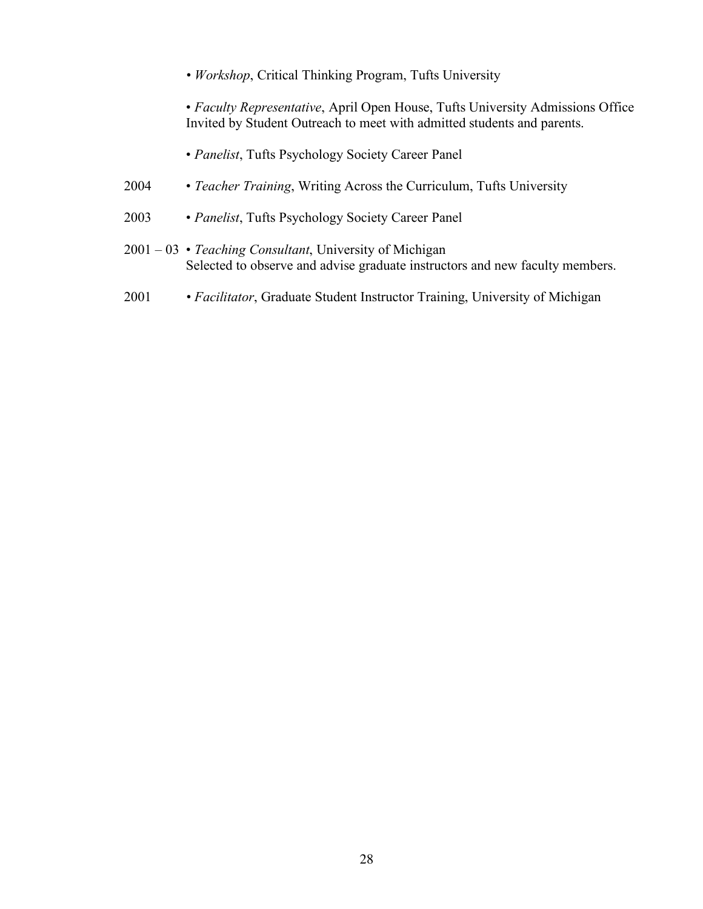*• Workshop*, Critical Thinking Program, Tufts University

• *Faculty Representative*, April Open House, Tufts University Admissions Office Invited by Student Outreach to meet with admitted students and parents.

- *Panelist*, Tufts Psychology Society Career Panel
- 2004 *Teacher Training*, Writing Across the Curriculum, Tufts University
- 2003 *Panelist*, Tufts Psychology Society Career Panel
- 2001 03 *Teaching Consultant*, University of Michigan Selected to observe and advise graduate instructors and new faculty members.
- 2001 *• Facilitator*, Graduate Student Instructor Training, University of Michigan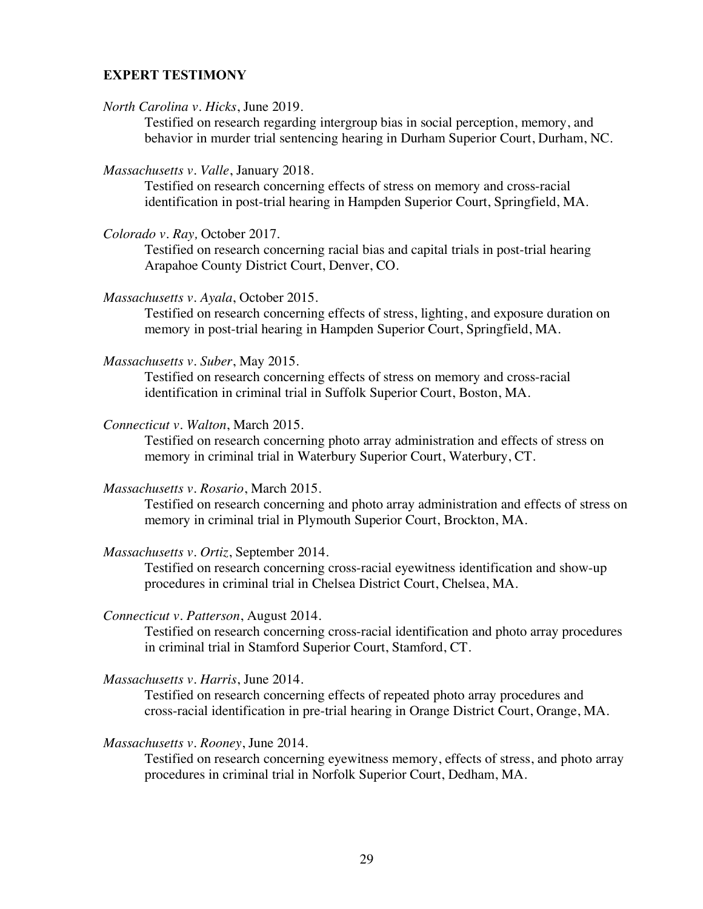### **EXPERT TESTIMONY**

*North Carolina v. Hicks*, June 2019.

Testified on research regarding intergroup bias in social perception, memory, and behavior in murder trial sentencing hearing in Durham Superior Court, Durham, NC.

*Massachusetts v. Valle*, January 2018.

Testified on research concerning effects of stress on memory and cross-racial identification in post-trial hearing in Hampden Superior Court, Springfield, MA.

*Colorado v. Ray,* October 2017*.*

Testified on research concerning racial bias and capital trials in post-trial hearing Arapahoe County District Court, Denver, CO.

*Massachusetts v. Ayala*, October 2015.

Testified on research concerning effects of stress, lighting, and exposure duration on memory in post-trial hearing in Hampden Superior Court, Springfield, MA.

*Massachusetts v. Suber*, May 2015.

Testified on research concerning effects of stress on memory and cross-racial identification in criminal trial in Suffolk Superior Court, Boston, MA.

*Connecticut v. Walton*, March 2015.

Testified on research concerning photo array administration and effects of stress on memory in criminal trial in Waterbury Superior Court, Waterbury, CT.

*Massachusetts v. Rosario*, March 2015.

Testified on research concerning and photo array administration and effects of stress on memory in criminal trial in Plymouth Superior Court, Brockton, MA.

*Massachusetts v. Ortiz*, September 2014.

Testified on research concerning cross-racial eyewitness identification and show-up procedures in criminal trial in Chelsea District Court, Chelsea, MA.

*Connecticut v. Patterson*, August 2014.

Testified on research concerning cross-racial identification and photo array procedures in criminal trial in Stamford Superior Court, Stamford, CT.

*Massachusetts v. Harris*, June 2014.

Testified on research concerning effects of repeated photo array procedures and cross-racial identification in pre-trial hearing in Orange District Court, Orange, MA.

*Massachusetts v. Rooney*, June 2014.

Testified on research concerning eyewitness memory, effects of stress, and photo array procedures in criminal trial in Norfolk Superior Court, Dedham, MA.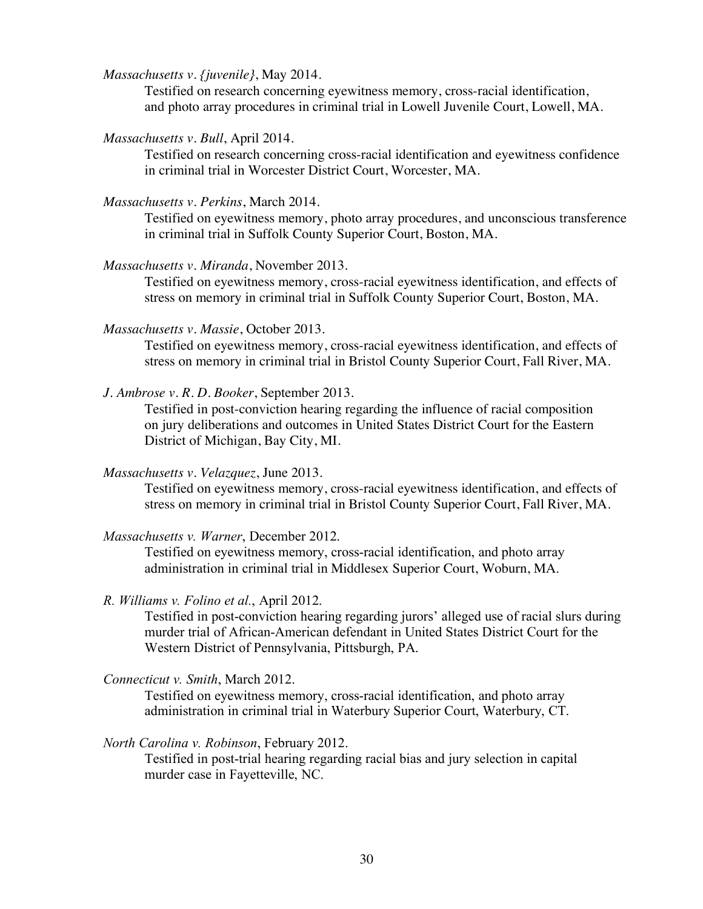*Massachusetts v. {juvenile}*, May 2014.

Testified on research concerning eyewitness memory, cross-racial identification, and photo array procedures in criminal trial in Lowell Juvenile Court, Lowell, MA.

*Massachusetts v. Bull*, April 2014.

Testified on research concerning cross-racial identification and eyewitness confidence in criminal trial in Worcester District Court, Worcester, MA.

*Massachusetts v. Perkins*, March 2014.

Testified on eyewitness memory, photo array procedures, and unconscious transference in criminal trial in Suffolk County Superior Court, Boston, MA.

*Massachusetts v. Miranda*, November 2013.

Testified on eyewitness memory, cross-racial eyewitness identification, and effects of stress on memory in criminal trial in Suffolk County Superior Court, Boston, MA.

*Massachusetts v. Massie*, October 2013.

Testified on eyewitness memory, cross-racial eyewitness identification, and effects of stress on memory in criminal trial in Bristol County Superior Court, Fall River, MA.

*J. Ambrose v. R. D. Booker*, September 2013.

Testified in post-conviction hearing regarding the influence of racial composition on jury deliberations and outcomes in United States District Court for the Eastern District of Michigan, Bay City, MI.

*Massachusetts v. Velazquez*, June 2013.

Testified on eyewitness memory, cross-racial eyewitness identification, and effects of stress on memory in criminal trial in Bristol County Superior Court, Fall River, MA.

*Massachusetts v. Warner*, December 2012.

Testified on eyewitness memory, cross-racial identification, and photo array administration in criminal trial in Middlesex Superior Court, Woburn, MA.

*R. Williams v. Folino et al.*, April 2012.

Testified in post-conviction hearing regarding jurors' alleged use of racial slurs during murder trial of African-American defendant in United States District Court for the Western District of Pennsylvania, Pittsburgh, PA.

*Connecticut v. Smith*, March 2012.

Testified on eyewitness memory, cross-racial identification, and photo array administration in criminal trial in Waterbury Superior Court, Waterbury, CT.

*North Carolina v. Robinson*, February 2012.

Testified in post-trial hearing regarding racial bias and jury selection in capital murder case in Fayetteville, NC.